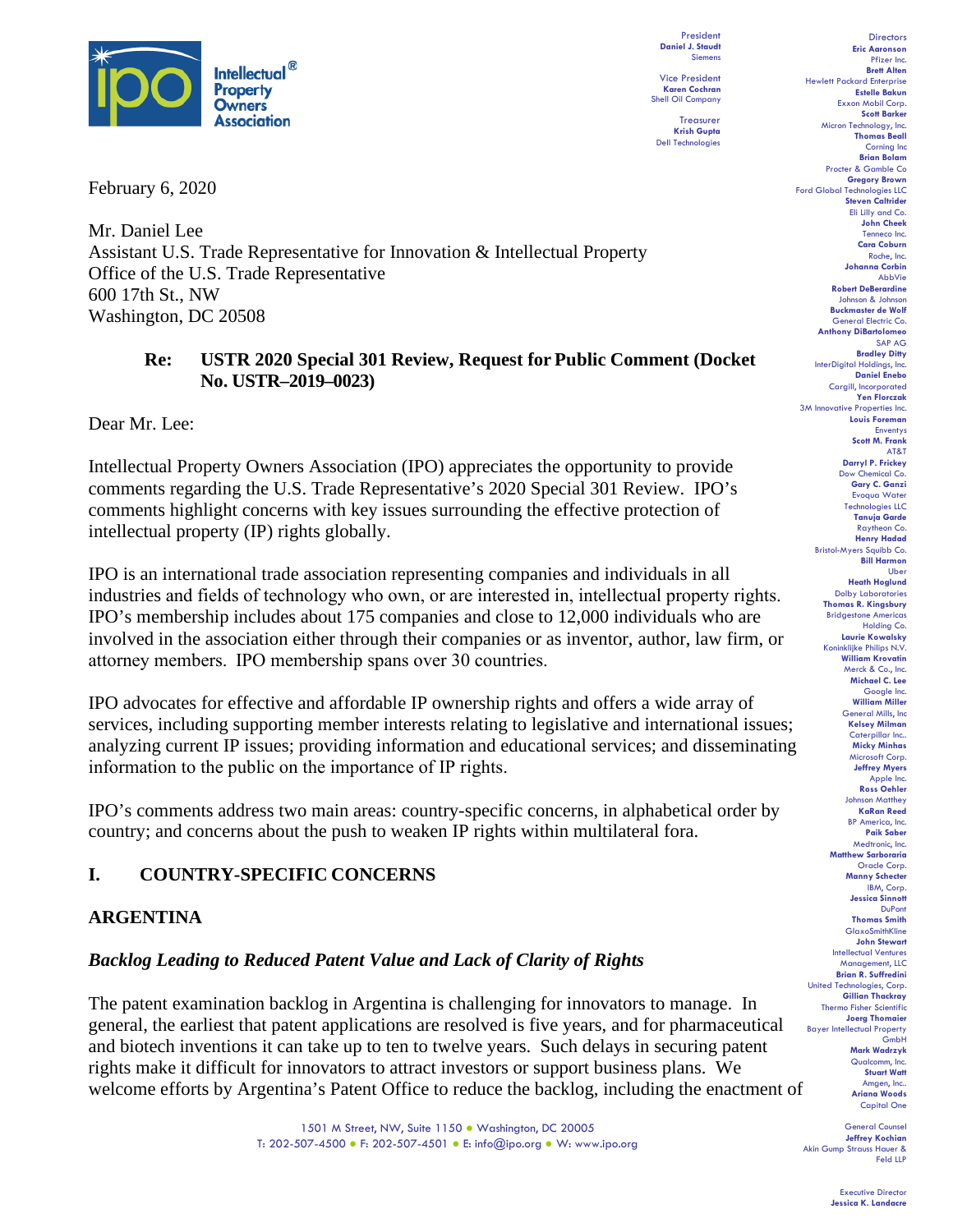

February 6, 2020

Mr. Daniel Lee Assistant U.S. Trade Representative for Innovation & Intellectual Property Office of the U.S. Trade Representative 600 17th St., NW Washington, DC 20508

## **Re: USTR 2020 Special 301 Review, Request for Public Comment (Docket No. USTR–2019–0023)**

Dear Mr. Lee:

Intellectual Property Owners Association (IPO) appreciates the opportunity to provide comments regarding the U.S. Trade Representative's 2020 Special 301 Review. IPO's comments highlight concerns with key issues surrounding the effective protection of intellectual property (IP) rights globally.

IPO is an international trade association representing companies and individuals in all industries and fields of technology who own, or are interested in, intellectual property rights.  IPO's membership includes about 175 companies and close to 12,000 individuals who are involved in the association either through their companies or as inventor, author, law firm, or attorney members.  IPO membership spans over 30 countries.

IPO advocates for effective and affordable IP ownership rights and offers a wide array of services, including supporting member interests relating to legislative and international issues; analyzing current IP issues; providing information and educational services; and disseminating information to the public on the importance of IP rights. 

IPO's comments address two main areas: country-specific concerns, in alphabetical order by country; and concerns about the push to weaken IP rights within multilateral fora.

# **I. COUNTRY-SPECIFIC CONCERNS**

## **ARGENTINA**

## *Backlog Leading to Reduced Patent Value and Lack of Clarity of Rights*

The patent examination backlog in Argentina is challenging for innovators to manage. In general, the earliest that patent applications are resolved is five years, and for pharmaceutical and biotech inventions it can take up to ten to twelve years. Such delays in securing patent rights make it difficult for innovators to attract investors or support business plans. We welcome efforts by Argentina's Patent Office to reduce the backlog, including the enactment of

> 1501 M Street, NW, Suite 1150 ● Washington, DC 20005 T: 202-507-4500 ● F: 202-507-4501 ● E: info@ipo.org ● W: www.ipo.org

President **Daniel J. Staudt** Siemens

Vice President **Karen Cochran** Shell Oil Company

Treasurer **Krish Gupta** Dell Technologies

Directors **Eric Aaronson**  Pfizer Inc. **Brett Alten** Hewlett Packard Enterprise **Estelle Bakun** Exxon Mobil Corp. **Scott Barker** Micron Technology, Inc. **Thomas Beall** Corning Inc **Brian Bolam** Procter & Gamble Co **Gregory Brown** Ford Global Technologies LLC **Steven Caltrider** Eli Lilly and Co. **John Cheek** Tenneco Inc. **Cara Coburn** Roche, Inc. **Johanna Corbin** AbbVie **Robert DeBerardine** Johnson & Johnson **Buckmaster de Wolf** General Electric Co. **Anthony DiBartolomeo** SAP AG **Bradley Ditty InterDigital Holding Daniel Enebo** Cargill, Incorporated **Yen Florczak** 3M Innovative Properties Inc. **Louis Foreman** Enventys **Scott M. Frank** AT&T **Darryl P. Frickey** Dow Chemical Co. **Gary C. Ganzi** Evoqua Water Technologies LLC **Tanuja Garde** Raytheon Co. **Henry Hadad** Bristol-Myers Squibb Co. **Bill Harmon** Uber **Heath Hoglund** Dolby Laboratories **Thomas R. Kingsbury** Bridgestone Americas Holding Co. **Laurie Kowalsky** Koninklijke Philips N.V. **William Krovatin** Merck & Co., Inc. **Michael C. Lee** Google Inc. **William Miller** General Mills, Inc **Kelsey Milman** Caterpillar Inc. **Micky Minhas** Microsoft Corp. **Jeffrey Myers** Apple Inc. **Ross Oehler** Johnson Matthey **KaRan Reed** BP America, Inc. **Paik Saber** Medtronic, Inc. **Matthew Sarboraria** Oracle Corp. **Manny Schecter** IBM, Corp. **Jessica Sinnott** DuPont **Thomas Smith** GlaxoSmithKline **John Stewart** Intellectual Ventures Management, LLC **Brian R. Suffredini** United Technologies, Corp. **Gillian Thackray** Thermo Fisher Scientific **Joerg Thomaier** Bayer Intellectual Property GmbH **Mark Wadrzyk** Qualcomm, Inc. **Stuart Watt** Amgen, Inc.. **Ariana Woods** Capital One

General Counsel **Jeffrey Kochian** Akin Gump Strauss Hauer & Feld LLP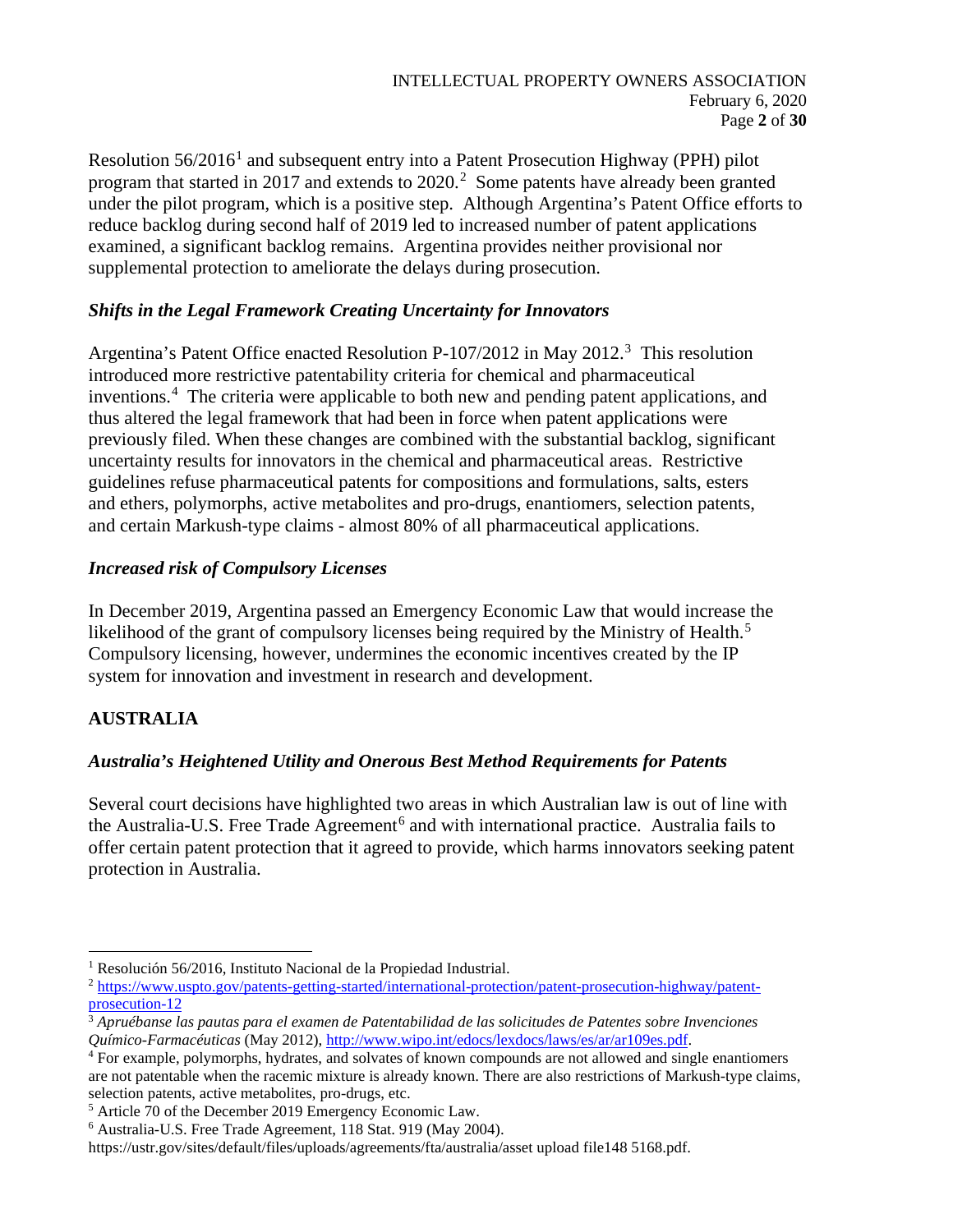Resolution  $56/2016<sup>1</sup>$  $56/2016<sup>1</sup>$  $56/2016<sup>1</sup>$  and subsequent entry into a Patent Prosecution Highway (PPH) pilot program that started in [2](#page-1-1)017 and extends to  $2020$ .<sup>2</sup> Some patents have already been granted under the pilot program, which is a positive step. Although Argentina's Patent Office efforts to reduce backlog during second half of 2019 led to increased number of patent applications examined, a significant backlog remains. Argentina provides neither provisional nor supplemental protection to ameliorate the delays during prosecution.

# *Shifts in the Legal Framework Creating Uncertainty for Innovators*

Argentina's Patent Office enacted Resolution P-107/2012 in May 2012.<sup>3</sup> This resolution introduced more restrictive patentability criteria for chemical and pharmaceutical inventions.<sup>[4](#page-1-3)</sup> The criteria were applicable to both new and pending patent applications, and thus altered the legal framework that had been in force when patent applications were previously filed. When these changes are combined with the substantial backlog, significant uncertainty results for innovators in the chemical and pharmaceutical areas. Restrictive guidelines refuse pharmaceutical patents for compositions and formulations, salts, esters and ethers, polymorphs, active metabolites and pro-drugs, enantiomers, selection patents, and certain Markush-type claims - almost 80% of all pharmaceutical applications.

# *Increased risk of Compulsory Licenses*

In December 2019, Argentina passed an Emergency Economic Law that would increase the likelihood of the grant of compulsory licenses being required by the Ministry of Health.<sup>[5](#page-1-4)</sup> Compulsory licensing, however, undermines the economic incentives created by the IP system for innovation and investment in research and development.

# **AUSTRALIA**

# *Australia's Heightened Utility and Onerous Best Method Requirements for Patents*

Several court decisions have highlighted two areas in which Australian law is out of line with the Australia-U.S. Free Trade Agreement<sup>[6](#page-1-5)</sup> and with international practice. Australia fails to offer certain patent protection that it agreed to provide, which harms innovators seeking patent protection in Australia.

<span id="page-1-0"></span><sup>1</sup> Resolución 56/2016, Instituto Nacional de la Propiedad Industrial.

<span id="page-1-1"></span><sup>2</sup> [https://www.uspto.gov/patents-getting-started/international-protection/patent-prosecution-highway/patent](https://www.uspto.gov/patents-getting-started/international-protection/patent-prosecution-highway/patent-prosecution-12)[prosecution-12](https://www.uspto.gov/patents-getting-started/international-protection/patent-prosecution-highway/patent-prosecution-12)

<span id="page-1-2"></span><sup>&</sup>lt;sup>3</sup> Apruébanse las pautas para el examen de Patentabilidad de las solicitudes de Patentes sobre Invenciones Químico-Farmacéuticas (May 2012), http://www.wipo.int/edocs/lexdocs/laws/es/ar/ar109es.pdf.

<span id="page-1-3"></span><sup>&</sup>lt;sup>4</sup> For example, polymorphs, hydrates, and solvates of known compounds are not allowed and single enantiomers are not patentable when the racemic mixture is already known. There are also restrictions of Markush-type claims, selection patents, active metabolites, pro-drugs, etc.

<span id="page-1-4"></span><sup>5</sup> Article 70 of the December 2019 Emergency Economic Law.

<span id="page-1-5"></span><sup>6</sup> Australia-U.S. Free Trade Agreement, 118 Stat. 919 (May 2004).

[https://ustr.gov/sites/default/files/uploads/agreements/fta/australia/asset upload file148 5168.pdf.](https://ustr.gov/sites/default/files/uploads/agreements/fta/australia/asset%20upload%20file148%205168.pdf)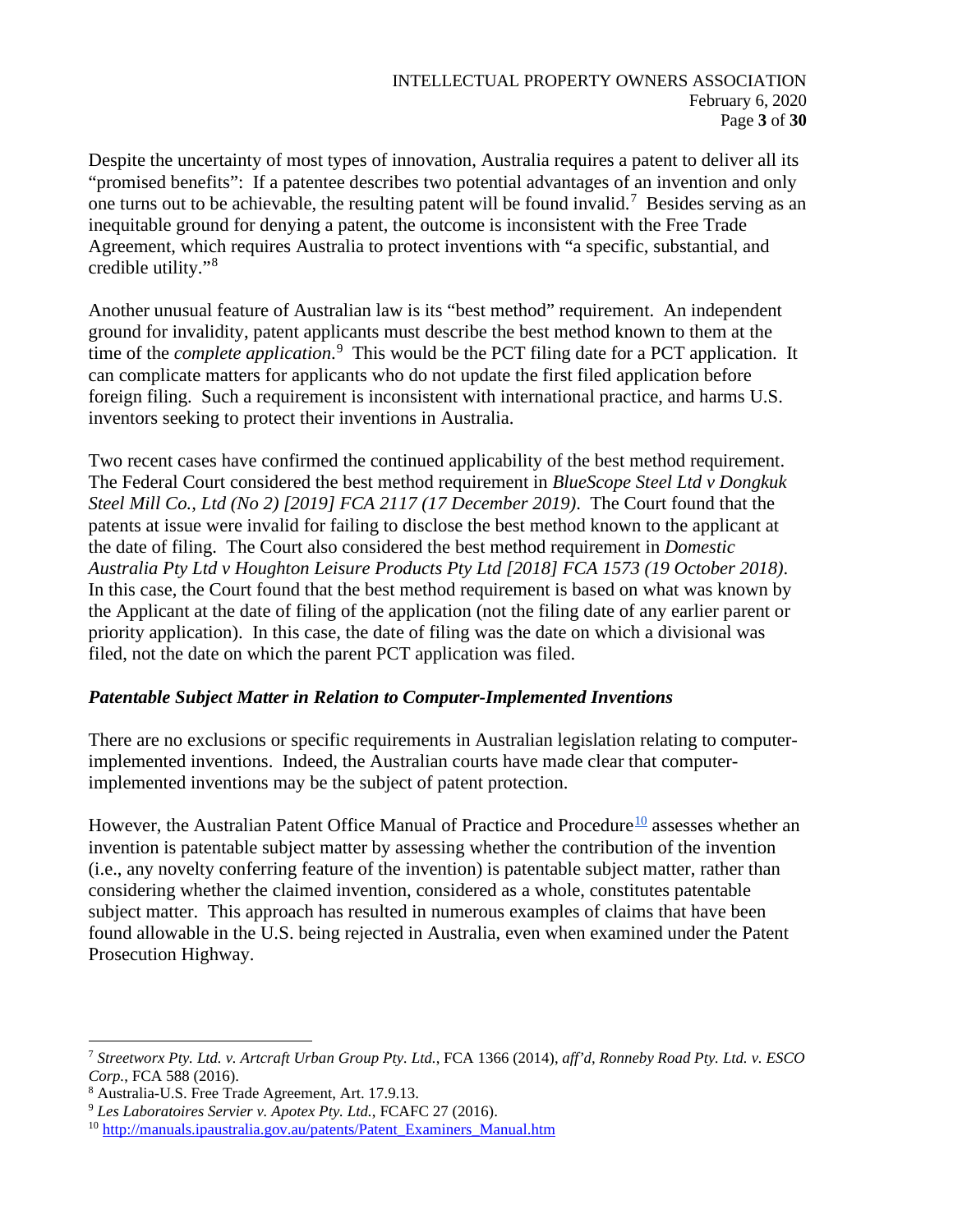Despite the uncertainty of most types of innovation, Australia requires a patent to deliver all its "promised benefits": If a patentee describes two potential advantages of an invention and only one turns out to be achievable, the resulting patent will be found invalid.<sup>[7](#page-2-0)</sup> Besides serving as an inequitable ground for denying a patent, the outcome is inconsistent with the Free Trade Agreement, which requires Australia to protect inventions with "a specific, substantial, and credible utility."[8](#page-2-1)

Another unusual feature of Australian law is its "best method" requirement. An independent ground for invalidity, patent applicants must describe the best method known to them at the time of the *complete application*. [9](#page-2-2) This would be the PCT filing date for a PCT application. It can complicate matters for applicants who do not update the first filed application before foreign filing. Such a requirement is inconsistent with international practice, and harms U.S. inventors seeking to protect their inventions in Australia.

Two recent cases have confirmed the continued applicability of the best method requirement. The Federal Court considered the best method requirement in *BlueScope Steel Ltd v Dongkuk Steel Mill Co., Ltd (No 2) [2019] FCA 2117 (17 December 2019)*. The Court found that the patents at issue were invalid for failing to disclose the best method known to the applicant at the date of filing. The Court also considered the best method requirement in *Domestic Australia Pty Ltd v Houghton Leisure Products Pty Ltd [2018] FCA 1573 (19 October 2018)*. In this case, the Court found that the best method requirement is based on what was known by the Applicant at the date of filing of the application (not the filing date of any earlier parent or priority application). In this case, the date of filing was the date on which a divisional was filed, not the date on which the parent PCT application was filed.

## *Patentable Subject Matter in Relation to Computer-Implemented Inventions*

There are no exclusions or specific requirements in Australian legislation relating to computerimplemented inventions. Indeed, the Australian courts have made clear that computerimplemented inventions may be the subject of patent protection.

However, the Australian Patent Office Manual of Practice and Procedure<sup>[10](#page-2-3)</sup> assesses whether an invention is patentable subject matter by assessing whether the contribution of the invention (i.e., any novelty conferring feature of the invention) is patentable subject matter, rather than considering whether the claimed invention, considered as a whole, constitutes patentable subject matter. This approach has resulted in numerous examples of claims that have been found allowable in the U.S. being rejected in Australia, even when examined under the Patent Prosecution Highway.

<span id="page-2-0"></span><sup>7</sup> *Streetworx Pty. Ltd. v. Artcraft Urban Group Pty. Ltd.*, FCA 1366 (2014), *aff'd, Ronneby Road Pty. Ltd. v. ESCO Corp.*, FCA 588 (2016).

<span id="page-2-1"></span><sup>8</sup> Australia-U.S. Free Trade Agreement, Art. 17.9.13.

<span id="page-2-2"></span><sup>9</sup> *Les Laboratoires Servier v. Apotex Pty. Ltd.*, FCAFC 27 (2016).

<span id="page-2-3"></span><sup>10</sup> [http://manuals.ipaustralia.gov.au/patents/Patent\\_Examiners\\_Manual.htm](http://manuals.ipaustralia.gov.au/patents/Patent_Examiners_Manual.htm)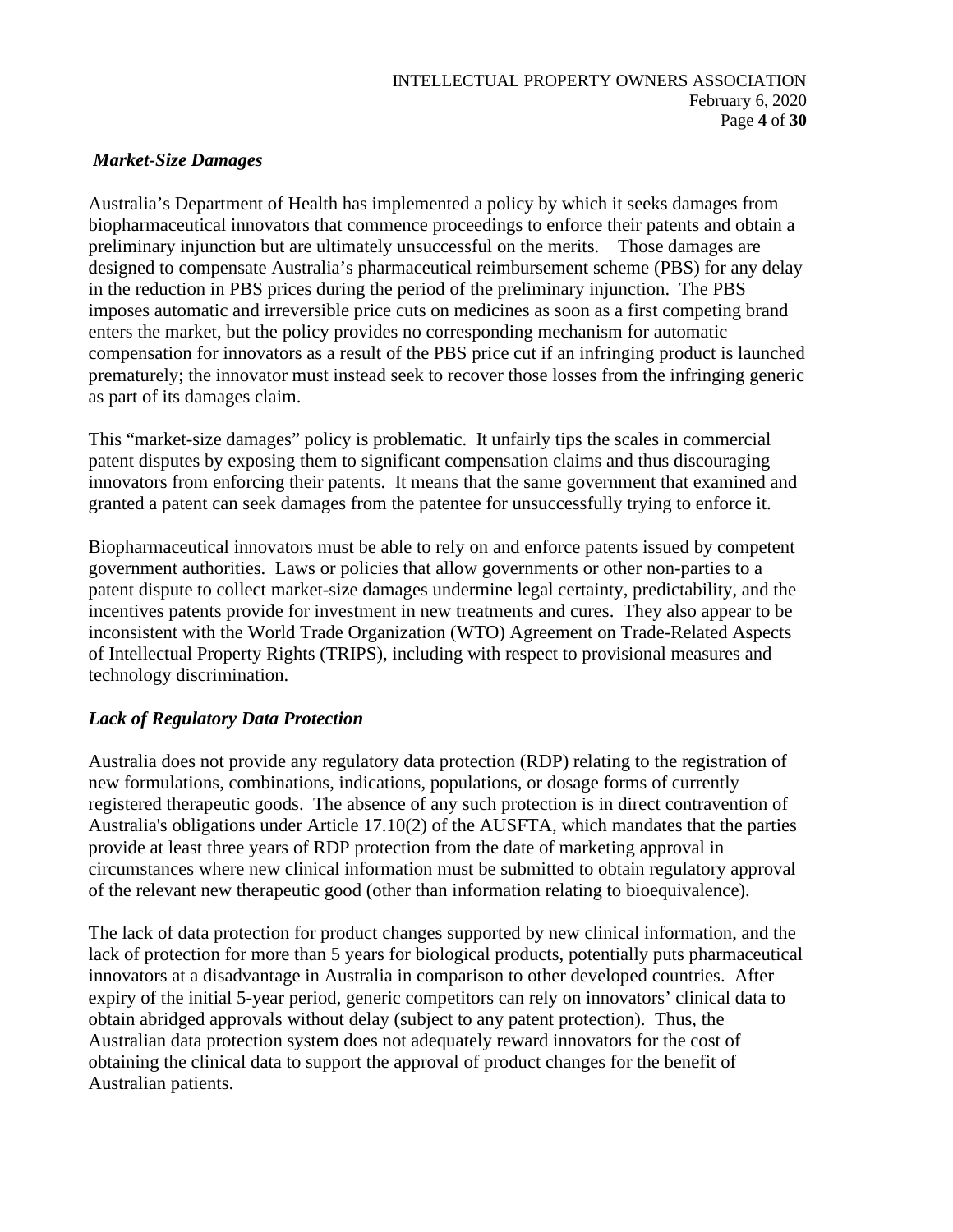### *Market-Size Damages*

Australia's Department of Health has implemented a policy by which it seeks damages from biopharmaceutical innovators that commence proceedings to enforce their patents and obtain a preliminary injunction but are ultimately unsuccessful on the merits. Those damages are designed to compensate Australia's pharmaceutical reimbursement scheme (PBS) for any delay in the reduction in PBS prices during the period of the preliminary injunction. The PBS imposes automatic and irreversible price cuts on medicines as soon as a first competing brand enters the market, but the policy provides no corresponding mechanism for automatic compensation for innovators as a result of the PBS price cut if an infringing product is launched prematurely; the innovator must instead seek to recover those losses from the infringing generic as part of its damages claim.

This "market-size damages" policy is problematic. It unfairly tips the scales in commercial patent disputes by exposing them to significant compensation claims and thus discouraging innovators from enforcing their patents. It means that the same government that examined and granted a patent can seek damages from the patentee for unsuccessfully trying to enforce it.

Biopharmaceutical innovators must be able to rely on and enforce patents issued by competent government authorities. Laws or policies that allow governments or other non-parties to a patent dispute to collect market-size damages undermine legal certainty, predictability, and the incentives patents provide for investment in new treatments and cures. They also appear to be inconsistent with the World Trade Organization (WTO) Agreement on Trade-Related Aspects of Intellectual Property Rights (TRIPS), including with respect to provisional measures and technology discrimination.

## *Lack of Regulatory Data Protection*

Australia does not provide any regulatory data protection (RDP) relating to the registration of new formulations, combinations, indications, populations, or dosage forms of currently registered therapeutic goods. The absence of any such protection is in direct contravention of Australia's obligations under Article 17.10(2) of the AUSFTA, which mandates that the parties provide at least three years of RDP protection from the date of marketing approval in circumstances where new clinical information must be submitted to obtain regulatory approval of the relevant new therapeutic good (other than information relating to bioequivalence).

The lack of data protection for product changes supported by new clinical information, and the lack of protection for more than 5 years for biological products, potentially puts pharmaceutical innovators at a disadvantage in Australia in comparison to other developed countries. After expiry of the initial 5-year period, generic competitors can rely on innovators' clinical data to obtain abridged approvals without delay (subject to any patent protection). Thus, the Australian data protection system does not adequately reward innovators for the cost of obtaining the clinical data to support the approval of product changes for the benefit of Australian patients.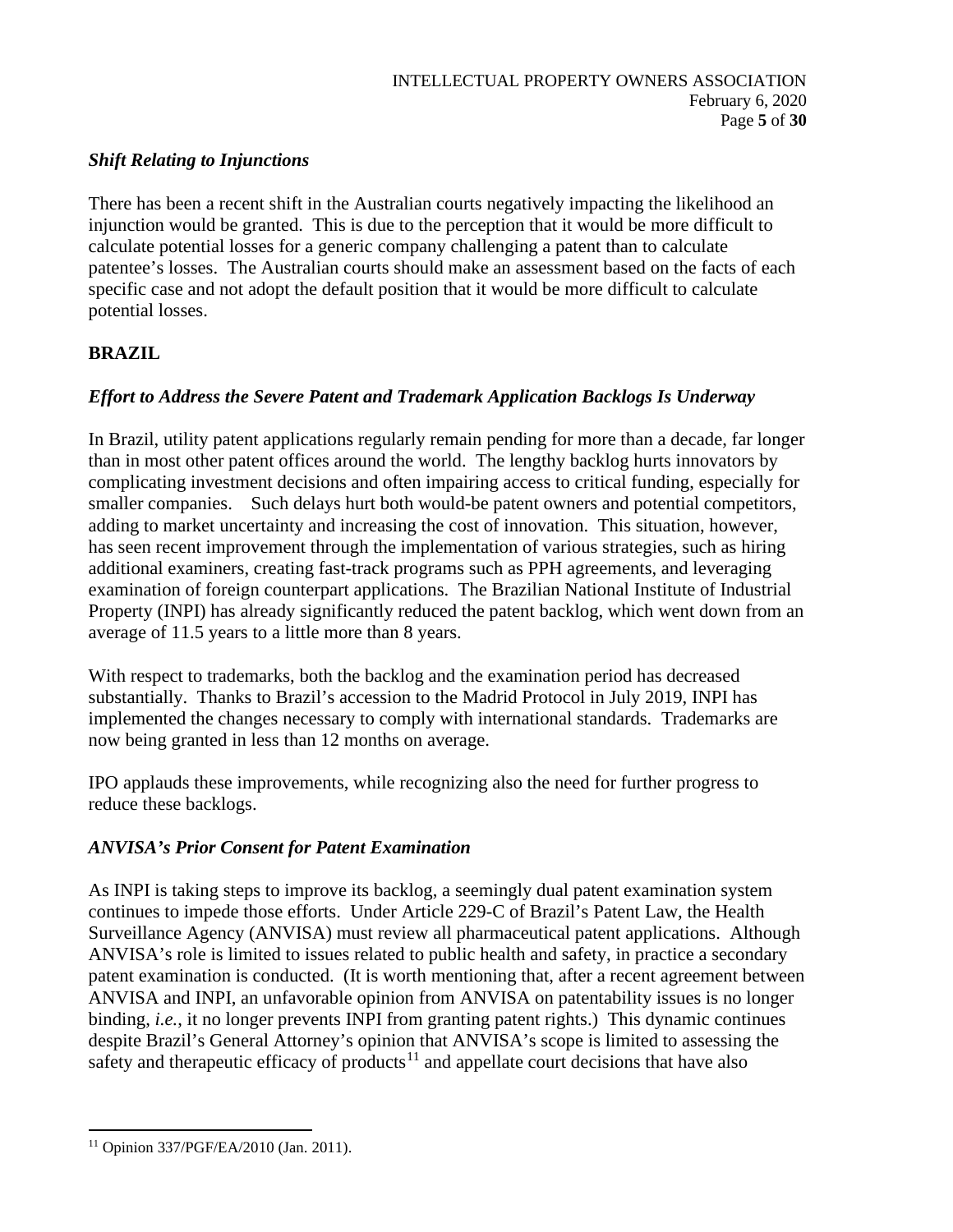## *Shift Relating to Injunctions*

There has been a recent shift in the Australian courts negatively impacting the likelihood an injunction would be granted. This is due to the perception that it would be more difficult to calculate potential losses for a generic company challenging a patent than to calculate patentee's losses. The Australian courts should make an assessment based on the facts of each specific case and not adopt the default position that it would be more difficult to calculate potential losses.

# **BRAZIL**

# *Effort to Address the Severe Patent and Trademark Application Backlogs Is Underway*

In Brazil, utility patent applications regularly remain pending for more than a decade, far longer than in most other patent offices around the world. The lengthy backlog hurts innovators by complicating investment decisions and often impairing access to critical funding, especially for smaller companies. Such delays hurt both would-be patent owners and potential competitors, adding to market uncertainty and increasing the cost of innovation. This situation, however, has seen recent improvement through the implementation of various strategies, such as hiring additional examiners, creating fast-track programs such as PPH agreements, and leveraging examination of foreign counterpart applications. The Brazilian National Institute of Industrial Property (INPI) has already significantly reduced the patent backlog, which went down from an average of 11.5 years to a little more than 8 years.

With respect to trademarks, both the backlog and the examination period has decreased substantially. Thanks to Brazil's accession to the Madrid Protocol in July 2019, INPI has implemented the changes necessary to comply with international standards. Trademarks are now being granted in less than 12 months on average.

IPO applauds these improvements, while recognizing also the need for further progress to reduce these backlogs.

## *ANVISA's Prior Consent for Patent Examination*

As INPI is taking steps to improve its backlog, a seemingly dual patent examination system continues to impede those efforts. Under Article 229-C of Brazil's Patent Law, the Health Surveillance Agency (ANVISA) must review all pharmaceutical patent applications. Although ANVISA's role is limited to issues related to public health and safety, in practice a secondary patent examination is conducted. (It is worth mentioning that, after a recent agreement between ANVISA and INPI, an unfavorable opinion from ANVISA on patentability issues is no longer binding, *i.e.*, it no longer prevents INPI from granting patent rights.) This dynamic continues despite Brazil's General Attorney's opinion that ANVISA's scope is limited to assessing the safety and therapeutic efficacy of products<sup>[11](#page-4-0)</sup> and appellate court decisions that have also

<span id="page-4-0"></span><sup>11</sup> Opinion 337/PGF/EA/2010 (Jan. 2011).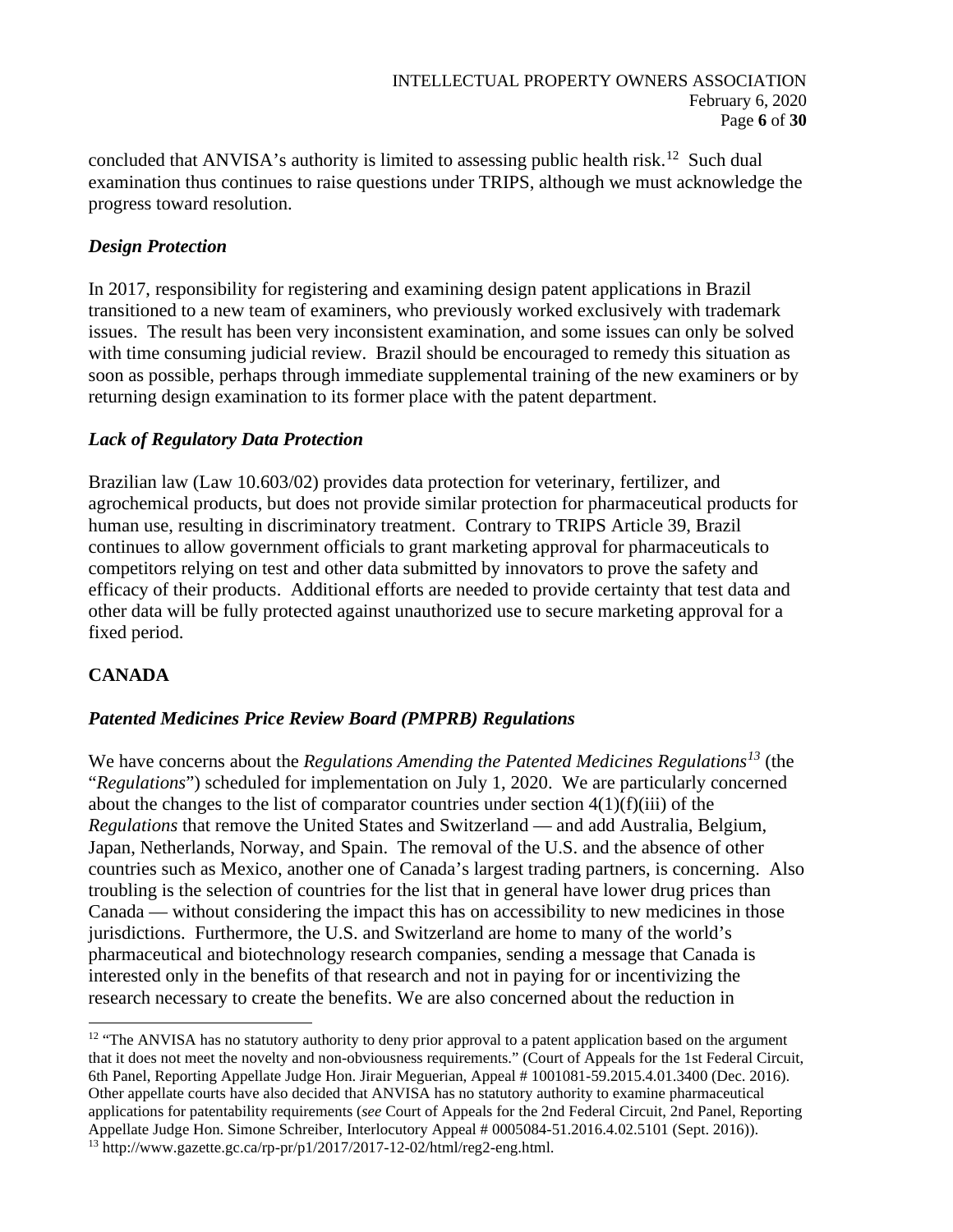concluded that ANVISA's authority is limited to assessing public health risk.<sup>[12](#page-5-0)</sup> Such dual examination thus continues to raise questions under TRIPS, although we must acknowledge the progress toward resolution.

### *Design Protection*

In 2017, responsibility for registering and examining design patent applications in Brazil transitioned to a new team of examiners, who previously worked exclusively with trademark issues. The result has been very inconsistent examination, and some issues can only be solved with time consuming judicial review. Brazil should be encouraged to remedy this situation as soon as possible, perhaps through immediate supplemental training of the new examiners or by returning design examination to its former place with the patent department.

### *Lack of Regulatory Data Protection*

Brazilian law (Law 10.603/02) provides data protection for veterinary, fertilizer, and agrochemical products, but does not provide similar protection for pharmaceutical products for human use, resulting in discriminatory treatment. Contrary to TRIPS Article 39, Brazil continues to allow government officials to grant marketing approval for pharmaceuticals to competitors relying on test and other data submitted by innovators to prove the safety and efficacy of their products. Additional efforts are needed to provide certainty that test data and other data will be fully protected against unauthorized use to secure marketing approval for a fixed period.

## **CANADA**

## *Patented Medicines Price Review Board (PMPRB) Regulations*

We have concerns about the *Regulations Amending the Patented Medicines Regulations[13](#page-5-1)* (the "*Regulations*") scheduled for implementation on July 1, 2020. We are particularly concerned about the changes to the list of comparator countries under section  $4(1)(f)(iii)$  of the *Regulations* that remove the United States and Switzerland — and add Australia, Belgium, Japan, Netherlands, Norway, and Spain. The removal of the U.S. and the absence of other countries such as Mexico, another one of Canada's largest trading partners, is concerning. Also troubling is the selection of countries for the list that in general have lower drug prices than Canada — without considering the impact this has on accessibility to new medicines in those jurisdictions. Furthermore, the U.S. and Switzerland are home to many of the world's pharmaceutical and biotechnology research companies, sending a message that Canada is interested only in the benefits of that research and not in paying for or incentivizing the research necessary to create the benefits. We are also concerned about the reduction in

<span id="page-5-1"></span><span id="page-5-0"></span><sup>&</sup>lt;sup>12</sup> "The ANVISA has no statutory authority to deny prior approval to a patent application based on the argument that it does not meet the novelty and non-obviousness requirements." (Court of Appeals for the 1st Federal Circuit, 6th Panel, Reporting Appellate Judge Hon. Jirair Meguerian, Appeal # 1001081-59.2015.4.01.3400 (Dec. 2016). Other appellate courts have also decided that ANVISA has no statutory authority to examine pharmaceutical applications for patentability requirements (*see* Court of Appeals for the 2nd Federal Circuit, 2nd Panel, Reporting Appellate Judge Hon. Simone Schreiber, Interlocutory Appeal # 0005084-51.2016.4.02.5101 (Sept. 2016)). <sup>13</sup> http://www.gazette.gc.ca/rp-pr/p1/2017/2017-12-02/html/reg2-eng.html.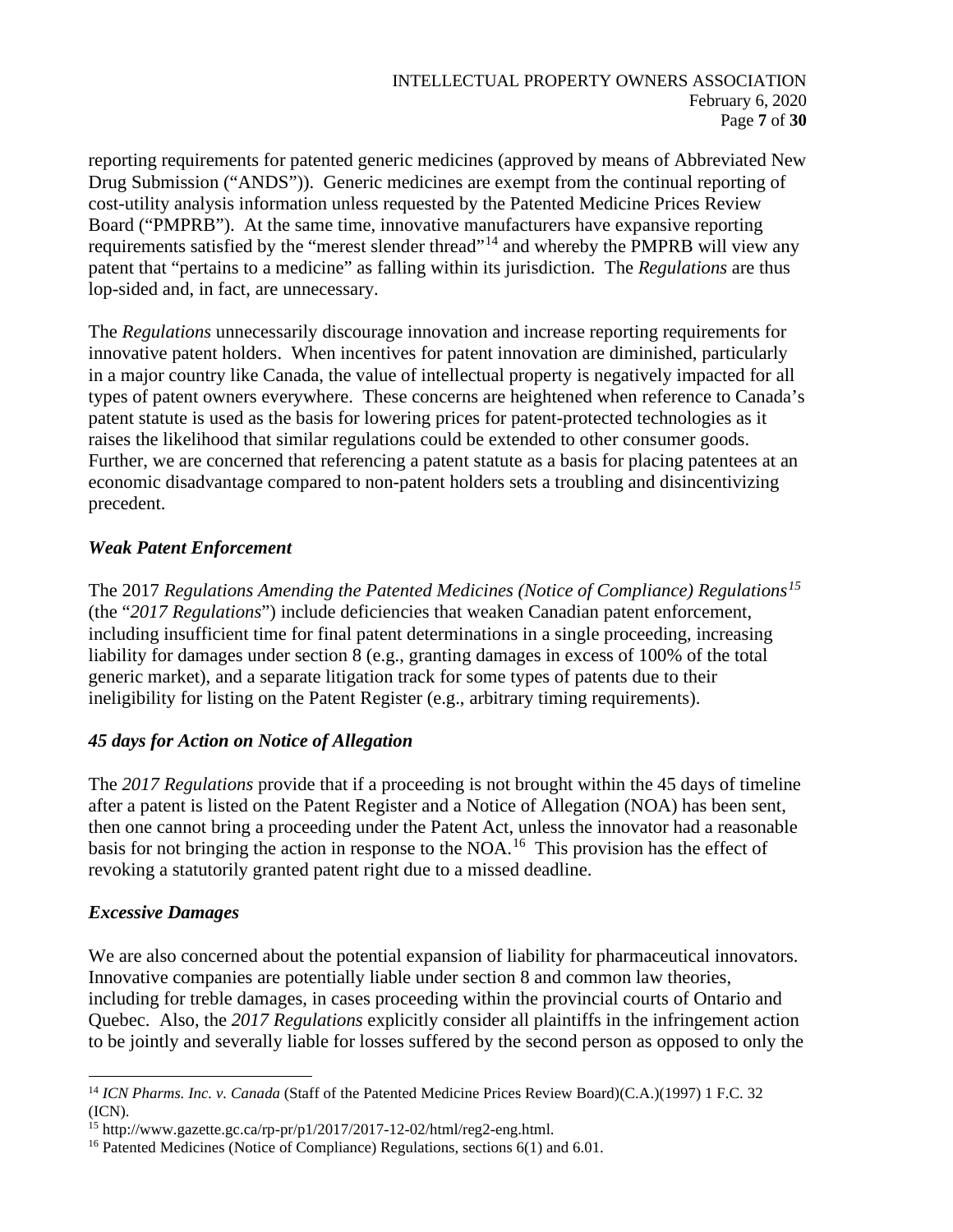reporting requirements for patented generic medicines (approved by means of Abbreviated New Drug Submission ("ANDS")). Generic medicines are exempt from the continual reporting of cost-utility analysis information unless requested by the Patented Medicine Prices Review Board ("PMPRB"). At the same time, innovative manufacturers have expansive reporting requirements satisfied by the "merest slender thread"<sup>[14](#page-6-0)</sup> and whereby the PMPRB will view any patent that "pertains to a medicine" as falling within its jurisdiction. The *Regulations* are thus lop-sided and, in fact, are unnecessary.

The *Regulations* unnecessarily discourage innovation and increase reporting requirements for innovative patent holders. When incentives for patent innovation are diminished, particularly in a major country like Canada, the value of intellectual property is negatively impacted for all types of patent owners everywhere. These concerns are heightened when reference to Canada's patent statute is used as the basis for lowering prices for patent-protected technologies as it raises the likelihood that similar regulations could be extended to other consumer goods. Further, we are concerned that referencing a patent statute as a basis for placing patentees at an economic disadvantage compared to non-patent holders sets a troubling and disincentivizing precedent.

## *Weak Patent Enforcement*

The 2017 *Regulations Amending the Patented Medicines (Notice of Compliance) Regulations[15](#page-6-1)* (the "*2017 Regulations*") include deficiencies that weaken Canadian patent enforcement, including insufficient time for final patent determinations in a single proceeding, increasing liability for damages under section 8 (e.g., granting damages in excess of 100% of the total generic market), and a separate litigation track for some types of patents due to their ineligibility for listing on the Patent Register (e.g., arbitrary timing requirements).

## *45 days for Action on Notice of Allegation*

The *2017 Regulations* provide that if a proceeding is not brought within the 45 days of timeline after a patent is listed on the Patent Register and a Notice of Allegation (NOA) has been sent, then one cannot bring a proceeding under the Patent Act, unless the innovator had a reasonable basis for not bringing the action in response to the NOA.[16](#page-6-2) This provision has the effect of revoking a statutorily granted patent right due to a missed deadline.

## *Excessive Damages*

We are also concerned about the potential expansion of liability for pharmaceutical innovators. Innovative companies are potentially liable under section 8 and common law theories, including for treble damages, in cases proceeding within the provincial courts of Ontario and Quebec. Also, the *2017 Regulations* explicitly consider all plaintiffs in the infringement action to be jointly and severally liable for losses suffered by the second person as opposed to only the

<span id="page-6-0"></span><sup>14</sup> *ICN Pharms. Inc. v. Canada* (Staff of the Patented Medicine Prices Review Board)(C.A.)(1997) 1 F.C. 32 (ICN).

<span id="page-6-1"></span><sup>&</sup>lt;sup>15</sup> http://www.gazette.gc.ca/rp-pr/p1/2017/2017-12-02/html/reg2-eng.html.

<span id="page-6-2"></span><sup>&</sup>lt;sup>16</sup> Patented Medicines (Notice of Compliance) Regulations, sections 6(1) and 6.01.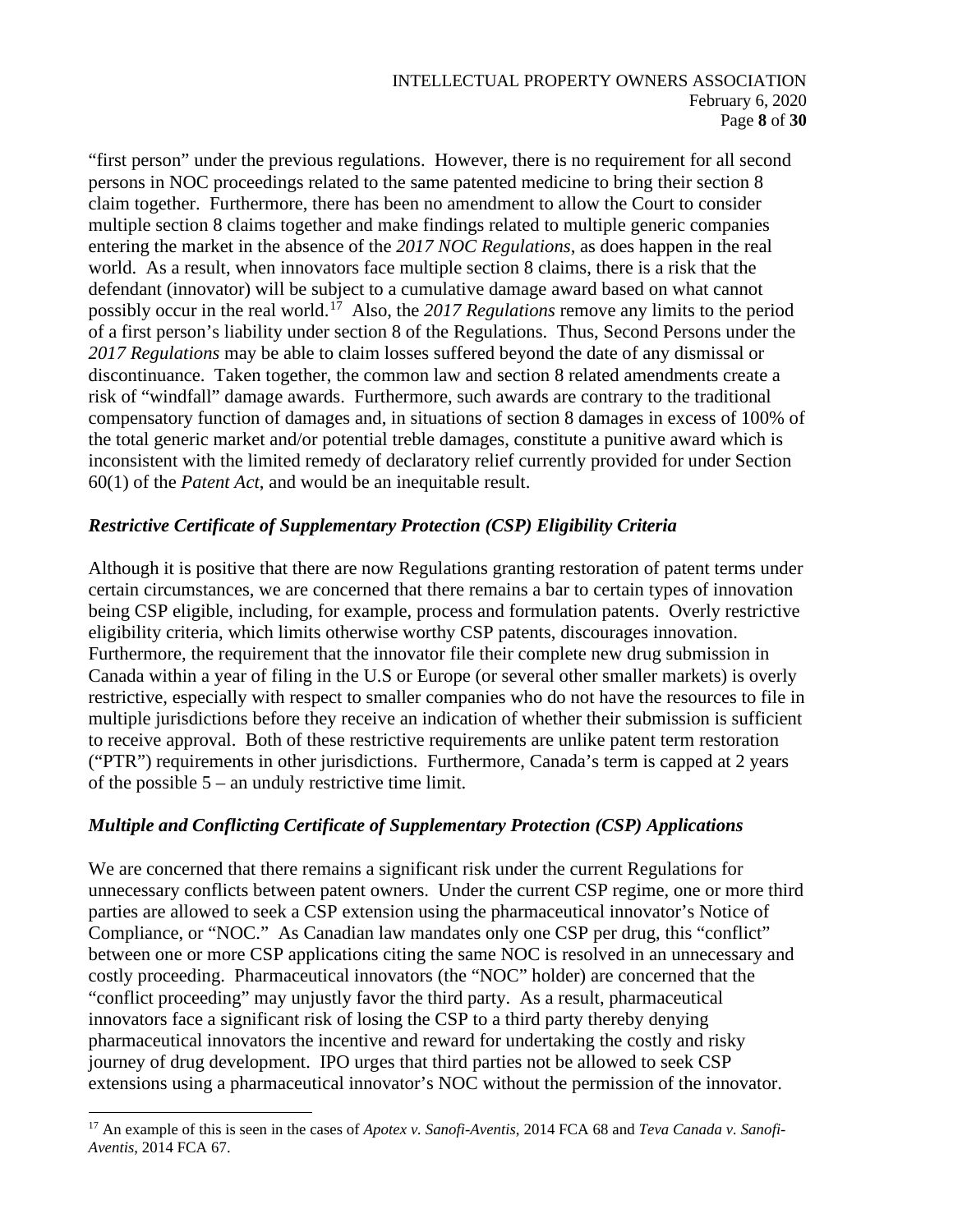"first person" under the previous regulations. However, there is no requirement for all second persons in NOC proceedings related to the same patented medicine to bring their section 8 claim together. Furthermore, there has been no amendment to allow the Court to consider multiple section 8 claims together and make findings related to multiple generic companies entering the market in the absence of the *2017 NOC Regulations*, as does happen in the real world. As a result, when innovators face multiple section 8 claims, there is a risk that the defendant (innovator) will be subject to a cumulative damage award based on what cannot possibly occur in the real world.[17](#page-7-0) Also, the *2017 Regulations* remove any limits to the period of a first person's liability under section 8 of the Regulations. Thus, Second Persons under the *2017 Regulations* may be able to claim losses suffered beyond the date of any dismissal or discontinuance. Taken together, the common law and section 8 related amendments create a risk of "windfall" damage awards. Furthermore, such awards are contrary to the traditional compensatory function of damages and, in situations of section 8 damages in excess of 100% of the total generic market and/or potential treble damages, constitute a punitive award which is inconsistent with the limited remedy of declaratory relief currently provided for under Section 60(1) of the *Patent Act*, and would be an inequitable result.

## *Restrictive Certificate of Supplementary Protection (CSP) Eligibility Criteria*

Although it is positive that there are now Regulations granting restoration of patent terms under certain circumstances, we are concerned that there remains a bar to certain types of innovation being CSP eligible, including, for example, process and formulation patents. Overly restrictive eligibility criteria, which limits otherwise worthy CSP patents, discourages innovation. Furthermore, the requirement that the innovator file their complete new drug submission in Canada within a year of filing in the U.S or Europe (or several other smaller markets) is overly restrictive, especially with respect to smaller companies who do not have the resources to file in multiple jurisdictions before they receive an indication of whether their submission is sufficient to receive approval. Both of these restrictive requirements are unlike patent term restoration ("PTR") requirements in other jurisdictions. Furthermore, Canada's term is capped at 2 years of the possible  $5 -$  an unduly restrictive time limit.

## *Multiple and Conflicting Certificate of Supplementary Protection (CSP) Applications*

We are concerned that there remains a significant risk under the current Regulations for unnecessary conflicts between patent owners. Under the current CSP regime, one or more third parties are allowed to seek a CSP extension using the pharmaceutical innovator's Notice of Compliance, or "NOC." As Canadian law mandates only one CSP per drug, this "conflict" between one or more CSP applications citing the same NOC is resolved in an unnecessary and costly proceeding. Pharmaceutical innovators (the "NOC" holder) are concerned that the "conflict proceeding" may unjustly favor the third party. As a result, pharmaceutical innovators face a significant risk of losing the CSP to a third party thereby denying pharmaceutical innovators the incentive and reward for undertaking the costly and risky journey of drug development. IPO urges that third parties not be allowed to seek CSP extensions using a pharmaceutical innovator's NOC without the permission of the innovator.

<span id="page-7-0"></span><sup>17</sup> An example of this is seen in the cases of *Apotex v. Sanofi-Aventis*, 2014 FCA 68 and *Teva Canada v. Sanofi-Aventis*, 2014 FCA 67.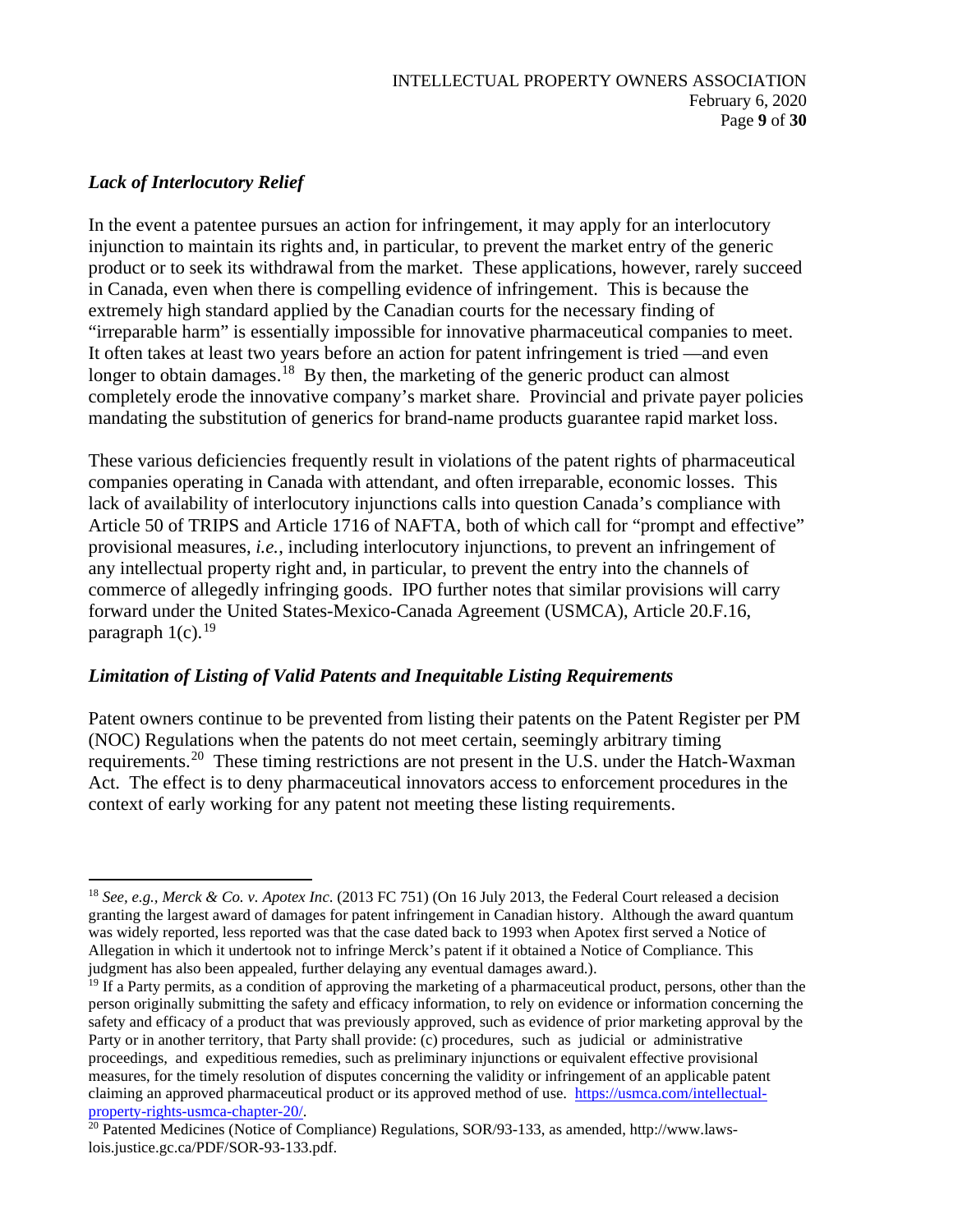# *Lack of Interlocutory Relief*

In the event a patentee pursues an action for infringement, it may apply for an interlocutory injunction to maintain its rights and, in particular, to prevent the market entry of the generic product or to seek its withdrawal from the market. These applications, however, rarely succeed in Canada, even when there is compelling evidence of infringement. This is because the extremely high standard applied by the Canadian courts for the necessary finding of "irreparable harm" is essentially impossible for innovative pharmaceutical companies to meet. It often takes at least two years before an action for patent infringement is tried —and even longer to obtain damages.<sup>[18](#page-8-0)</sup> By then, the marketing of the generic product can almost completely erode the innovative company's market share. Provincial and private payer policies mandating the substitution of generics for brand-name products guarantee rapid market loss.

These various deficiencies frequently result in violations of the patent rights of pharmaceutical companies operating in Canada with attendant, and often irreparable, economic losses. This lack of availability of interlocutory injunctions calls into question Canada's compliance with Article 50 of TRIPS and Article 1716 of NAFTA, both of which call for "prompt and effective" provisional measures, *i.e.*, including interlocutory injunctions, to prevent an infringement of any intellectual property right and, in particular, to prevent the entry into the channels of commerce of allegedly infringing goods. IPO further notes that similar provisions will carry forward under the United States-Mexico-Canada Agreement (USMCA), Article 20.F.16, paragraph  $1(c)$ .<sup>[19](#page-8-1)</sup>

## *Limitation of Listing of Valid Patents and Inequitable Listing Requirements*

Patent owners continue to be prevented from listing their patents on the Patent Register per PM (NOC) Regulations when the patents do not meet certain, seemingly arbitrary timing requirements.<sup>[20](#page-8-2)</sup> These timing restrictions are not present in the U.S. under the Hatch-Waxman Act. The effect is to deny pharmaceutical innovators access to enforcement procedures in the context of early working for any patent not meeting these listing requirements.

<span id="page-8-0"></span><sup>18</sup> *See, e.g., Merck & Co. v. Apotex Inc*. (2013 FC 751) (On 16 July 2013, the Federal Court released a decision granting the largest award of damages for patent infringement in Canadian history. Although the award quantum was widely reported, less reported was that the case dated back to 1993 when Apotex first served a Notice of Allegation in which it undertook not to infringe Merck's patent if it obtained a Notice of Compliance. This judgment has also been appealed, further delaying any eventual damages award.).

<span id="page-8-1"></span> $19$  If a Party permits, as a condition of approving the marketing of a pharmaceutical product, persons, other than the person originally submitting the safety and efficacy information, to rely on evidence or information concerning the safety and efficacy of a product that was previously approved, such as evidence of prior marketing approval by the Party or in another territory, that Party shall provide: (c) procedures, such as judicial or administrative proceedings, and expeditious remedies, such as preliminary injunctions or equivalent effective provisional measures, for the timely resolution of disputes concerning the validity or infringement of an applicable patent claiming an approved pharmaceutical product or its approved method of use. https://usmca.com/intellectual-<br>property-rights-usmca-chapter-20/.

<span id="page-8-2"></span> $\frac{20}{20}$  Patented Medicines (Notice of Compliance) Regulations, SOR/93-133, as amended, http://www.lawslois.justice.gc.ca/PDF/SOR-93-133.pdf.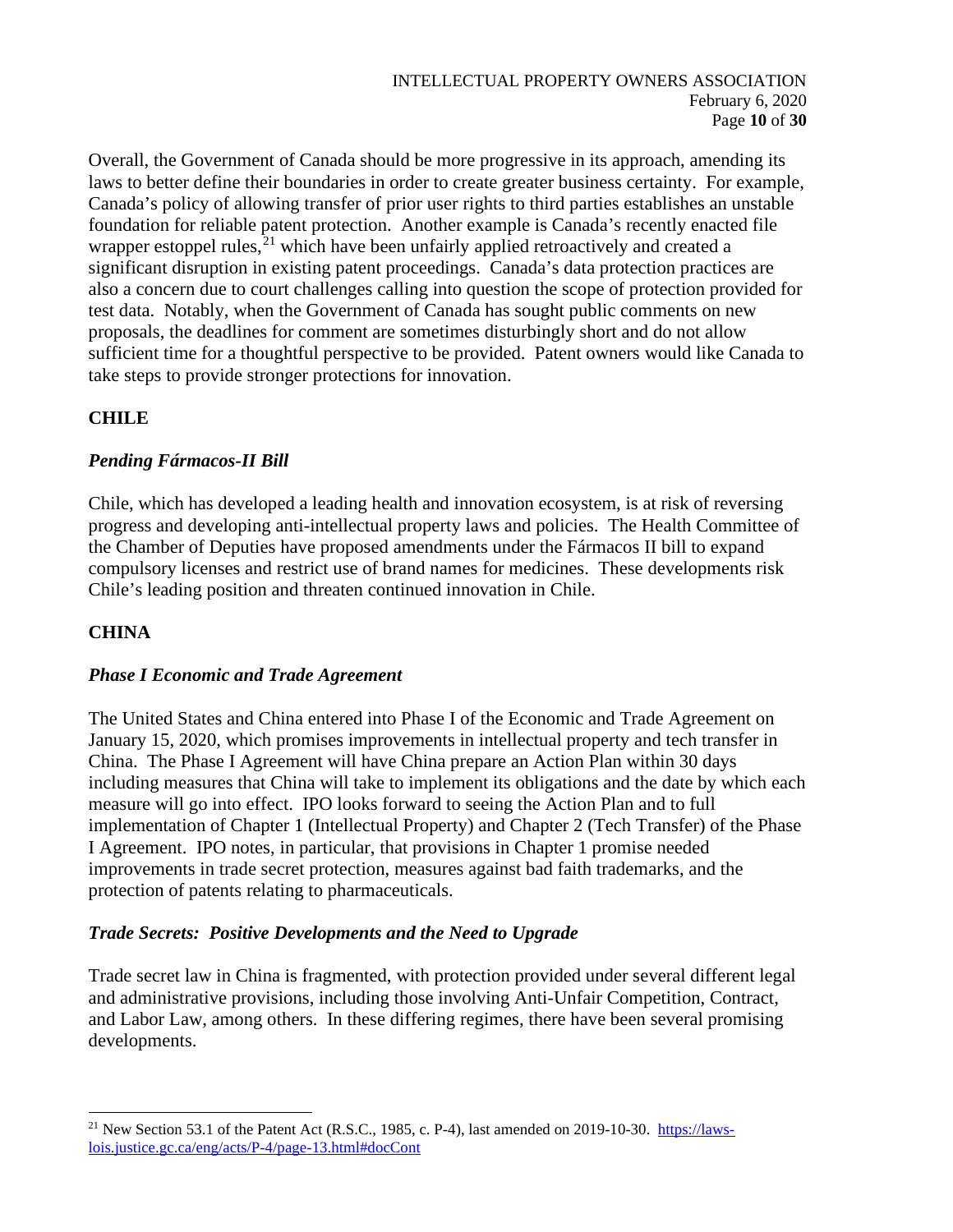Overall, the Government of Canada should be more progressive in its approach, amending its laws to better define their boundaries in order to create greater business certainty. For example, Canada's policy of allowing transfer of prior user rights to third parties establishes an unstable foundation for reliable patent protection. Another example is Canada's recently enacted file wrapper estoppel rules, $^{21}$  $^{21}$  $^{21}$  which have been unfairly applied retroactively and created a significant disruption in existing patent proceedings. Canada's data protection practices are also a concern due to court challenges calling into question the scope of protection provided for test data. Notably, when the Government of Canada has sought public comments on new proposals, the deadlines for comment are sometimes disturbingly short and do not allow sufficient time for a thoughtful perspective to be provided. Patent owners would like Canada to take steps to provide stronger protections for innovation.

# **CHILE**

# *Pending Fármacos-II Bill*

Chile, which has developed a leading health and innovation ecosystem, is at risk of reversing progress and developing anti-intellectual property laws and policies. The Health Committee of the Chamber of Deputies have proposed amendments under the Fármacos II bill to expand compulsory licenses and restrict use of brand names for medicines. These developments risk Chile's leading position and threaten continued innovation in Chile.

# **CHINA**

## *Phase I Economic and Trade Agreement*

The United States and China entered into Phase I of the Economic and Trade Agreement on January 15, 2020, which promises improvements in intellectual property and tech transfer in China. The Phase I Agreement will have China prepare an Action Plan within 30 days including measures that China will take to implement its obligations and the date by which each measure will go into effect. IPO looks forward to seeing the Action Plan and to full implementation of Chapter 1 (Intellectual Property) and Chapter 2 (Tech Transfer) of the Phase I Agreement. IPO notes, in particular, that provisions in Chapter 1 promise needed improvements in trade secret protection, measures against bad faith trademarks, and the protection of patents relating to pharmaceuticals.

## *Trade Secrets: Positive Developments and the Need to Upgrade*

Trade secret law in China is fragmented, with protection provided under several different legal and administrative provisions, including those involving Anti-Unfair Competition, Contract, and Labor Law, among others. In these differing regimes, there have been several promising developments.

<span id="page-9-0"></span><sup>&</sup>lt;sup>21</sup> New Section 53.1 of the Patent Act (R.S.C., 1985, c. P-4), last amended on 2019-10-30. [https://laws](https://laws-lois.justice.gc.ca/eng/acts/P-4/page-13.html#docCont)[lois.justice.gc.ca/eng/acts/P-4/page-13.html#docCont](https://laws-lois.justice.gc.ca/eng/acts/P-4/page-13.html#docCont)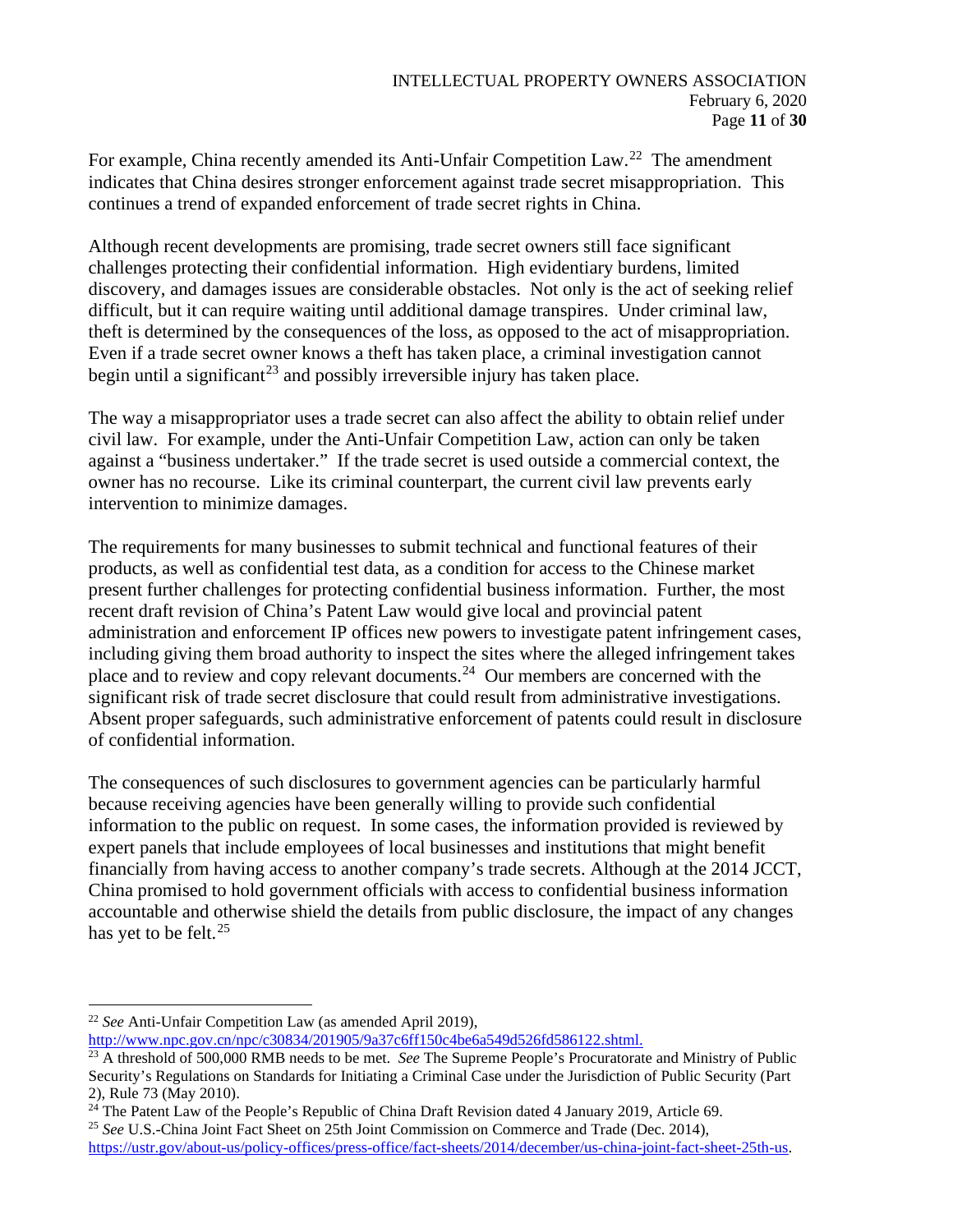For example, China recently amended its Anti-Unfair Competition Law.<sup>[22](#page-10-0)</sup> The amendment indicates that China desires stronger enforcement against trade secret misappropriation. This continues a trend of expanded enforcement of trade secret rights in China.

Although recent developments are promising, trade secret owners still face significant challenges protecting their confidential information. High evidentiary burdens, limited discovery, and damages issues are considerable obstacles. Not only is the act of seeking relief difficult, but it can require waiting until additional damage transpires. Under criminal law, theft is determined by the consequences of the loss, as opposed to the act of misappropriation. Even if a trade secret owner knows a theft has taken place, a criminal investigation cannot begin until a significant<sup>[23](#page-10-1)</sup> and possibly irreversible injury has taken place.

The way a misappropriator uses a trade secret can also affect the ability to obtain relief under civil law. For example, under the Anti-Unfair Competition Law, action can only be taken against a "business undertaker." If the trade secret is used outside a commercial context, the owner has no recourse. Like its criminal counterpart, the current civil law prevents early intervention to minimize damages.

The requirements for many businesses to submit technical and functional features of their products, as well as confidential test data, as a condition for access to the Chinese market present further challenges for protecting confidential business information. Further, the most recent draft revision of China's Patent Law would give local and provincial patent administration and enforcement IP offices new powers to investigate patent infringement cases, including giving them broad authority to inspect the sites where the alleged infringement takes place and to review and copy relevant documents.[24](#page-10-2) Our members are concerned with the significant risk of trade secret disclosure that could result from administrative investigations. Absent proper safeguards, such administrative enforcement of patents could result in disclosure of confidential information.

The consequences of such disclosures to government agencies can be particularly harmful because receiving agencies have been generally willing to provide such confidential information to the public on request. In some cases, the information provided is reviewed by expert panels that include employees of local businesses and institutions that might benefit financially from having access to another company's trade secrets. Although at the 2014 JCCT, China promised to hold government officials with access to confidential business information accountable and otherwise shield the details from public disclosure, the impact of any changes has yet to be felt. $25$ 

[http://www.npc.gov.cn/npc/c30834/201905/9a37c6ff150c4be6a549d526fd586122.shtml.](http://www.npc.gov.cn/npc/c30834/201905/9a37c6ff150c4be6a549d526fd586122.shtml)

<span id="page-10-0"></span><sup>22</sup> *See* Anti-Unfair Competition Law (as amended April 2019),

<span id="page-10-1"></span><sup>&</sup>lt;sup>23</sup> A threshold of 500,000 RMB needs to be met. *See* The Supreme People's Procuratorate and Ministry of Public Security's Regulations on Standards for Initiating a Criminal Case under the Jurisdiction of Public Security (Part 2), Rule 73 (May 2010).

<span id="page-10-2"></span><sup>&</sup>lt;sup>24</sup> The Patent Law of the People's Republic of China Draft Revision dated 4 January 2019, Article 69.<br><sup>25</sup> *See* U.S.-China Joint Fact Sheet on 25th Joint Commission on Commerce and Trade (Dec. 2014),

<span id="page-10-3"></span>[https://ustr.gov/about-us/policy-offices/press-office/fact-sheets/2014/december/us-china-joint-fact-sheet-25th-us.](https://ustr.gov/about-us/policy-offices/press-office/fact-sheets/2014/december/us-china-joint-fact-sheet-25th-us)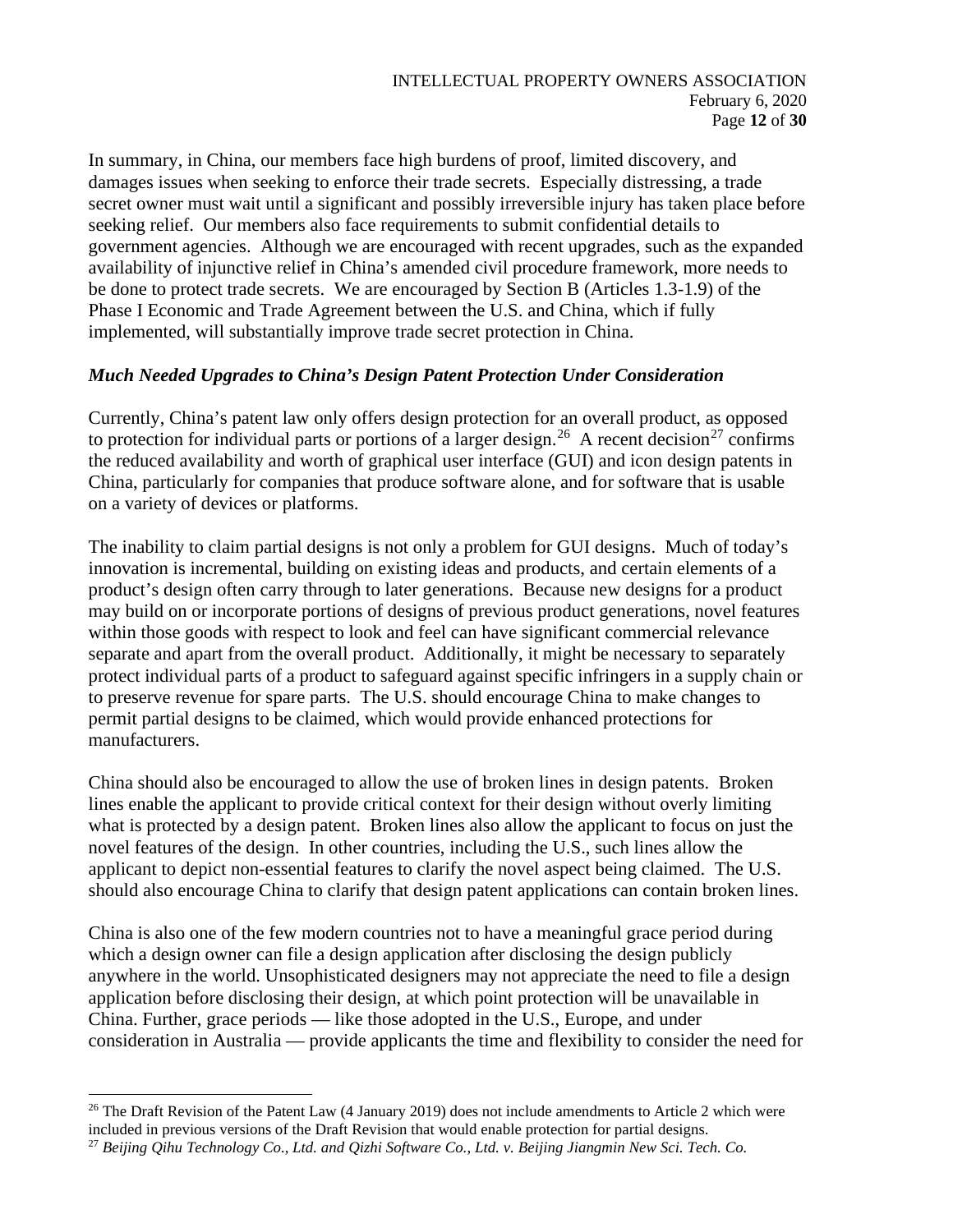In summary, in China, our members face high burdens of proof, limited discovery, and damages issues when seeking to enforce their trade secrets. Especially distressing, a trade secret owner must wait until a significant and possibly irreversible injury has taken place before seeking relief. Our members also face requirements to submit confidential details to government agencies. Although we are encouraged with recent upgrades, such as the expanded availability of injunctive relief in China's amended civil procedure framework, more needs to be done to protect trade secrets. We are encouraged by Section B (Articles 1.3-1.9) of the Phase I Economic and Trade Agreement between the U.S. and China, which if fully implemented, will substantially improve trade secret protection in China.

## *Much Needed Upgrades to China's Design Patent Protection Under Consideration*

Currently, China's patent law only offers design protection for an overall product, as opposed to protection for individual parts or portions of a larger design.<sup>[26](#page-11-0)</sup> A recent decision<sup>[27](#page-11-1)</sup> confirms the reduced availability and worth of graphical user interface (GUI) and icon design patents in China, particularly for companies that produce software alone, and for software that is usable on a variety of devices or platforms.

The inability to claim partial designs is not only a problem for GUI designs. Much of today's innovation is incremental, building on existing ideas and products, and certain elements of a product's design often carry through to later generations. Because new designs for a product may build on or incorporate portions of designs of previous product generations, novel features within those goods with respect to look and feel can have significant commercial relevance separate and apart from the overall product. Additionally, it might be necessary to separately protect individual parts of a product to safeguard against specific infringers in a supply chain or to preserve revenue for spare parts. The U.S. should encourage China to make changes to permit partial designs to be claimed, which would provide enhanced protections for manufacturers.

China should also be encouraged to allow the use of broken lines in design patents. Broken lines enable the applicant to provide critical context for their design without overly limiting what is protected by a design patent. Broken lines also allow the applicant to focus on just the novel features of the design. In other countries, including the U.S., such lines allow the applicant to depict non-essential features to clarify the novel aspect being claimed. The U.S. should also encourage China to clarify that design patent applications can contain broken lines.

China is also one of the few modern countries not to have a meaningful grace period during which a design owner can file a design application after disclosing the design publicly anywhere in the world. Unsophisticated designers may not appreciate the need to file a design application before disclosing their design, at which point protection will be unavailable in China. Further, grace periods — like those adopted in the U.S., Europe, and under consideration in Australia — provide applicants the time and flexibility to consider the need for

<span id="page-11-0"></span><sup>&</sup>lt;sup>26</sup> The Draft Revision of the Patent Law (4 January 2019) does not include amendments to Article 2 which were included in previous versions of the Draft Revision that would enable protection for partial designs.

<span id="page-11-1"></span><sup>27</sup> *Beijing Qihu Technology Co., Ltd. and Qizhi Software Co., Ltd. v. Beijing Jiangmin New Sci. Tech. Co.*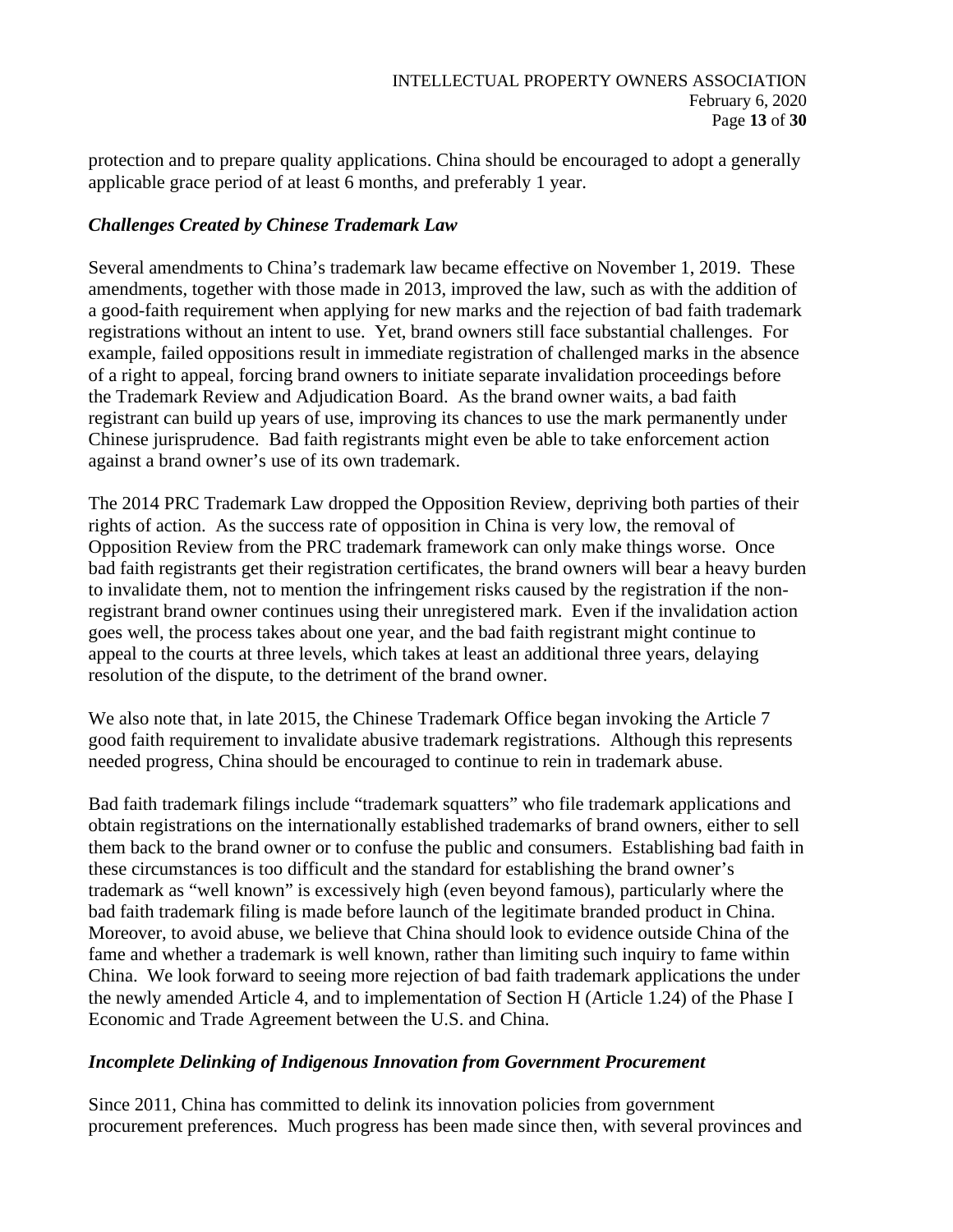protection and to prepare quality applications. China should be encouraged to adopt a generally applicable grace period of at least 6 months, and preferably 1 year.

## *Challenges Created by Chinese Trademark Law*

Several amendments to China's trademark law became effective on November 1, 2019. These amendments, together with those made in 2013, improved the law, such as with the addition of a good-faith requirement when applying for new marks and the rejection of bad faith trademark registrations without an intent to use. Yet, brand owners still face substantial challenges. For example, failed oppositions result in immediate registration of challenged marks in the absence of a right to appeal, forcing brand owners to initiate separate invalidation proceedings before the Trademark Review and Adjudication Board. As the brand owner waits, a bad faith registrant can build up years of use, improving its chances to use the mark permanently under Chinese jurisprudence. Bad faith registrants might even be able to take enforcement action against a brand owner's use of its own trademark.

The 2014 PRC Trademark Law dropped the Opposition Review, depriving both parties of their rights of action. As the success rate of opposition in China is very low, the removal of Opposition Review from the PRC trademark framework can only make things worse. Once bad faith registrants get their registration certificates, the brand owners will bear a heavy burden to invalidate them, not to mention the infringement risks caused by the registration if the nonregistrant brand owner continues using their unregistered mark. Even if the invalidation action goes well, the process takes about one year, and the bad faith registrant might continue to appeal to the courts at three levels, which takes at least an additional three years, delaying resolution of the dispute, to the detriment of the brand owner.

We also note that, in late 2015, the Chinese Trademark Office began invoking the Article 7 good faith requirement to invalidate abusive trademark registrations. Although this represents needed progress, China should be encouraged to continue to rein in trademark abuse.

Bad faith trademark filings include "trademark squatters" who file trademark applications and obtain registrations on the internationally established trademarks of brand owners, either to sell them back to the brand owner or to confuse the public and consumers. Establishing bad faith in these circumstances is too difficult and the standard for establishing the brand owner's trademark as "well known" is excessively high (even beyond famous), particularly where the bad faith trademark filing is made before launch of the legitimate branded product in China. Moreover, to avoid abuse, we believe that China should look to evidence outside China of the fame and whether a trademark is well known, rather than limiting such inquiry to fame within China. We look forward to seeing more rejection of bad faith trademark applications the under the newly amended Article 4, and to implementation of Section H (Article 1.24) of the Phase I Economic and Trade Agreement between the U.S. and China.

### *Incomplete Delinking of Indigenous Innovation from Government Procurement*

Since 2011, China has committed to delink its innovation policies from government procurement preferences. Much progress has been made since then, with several provinces and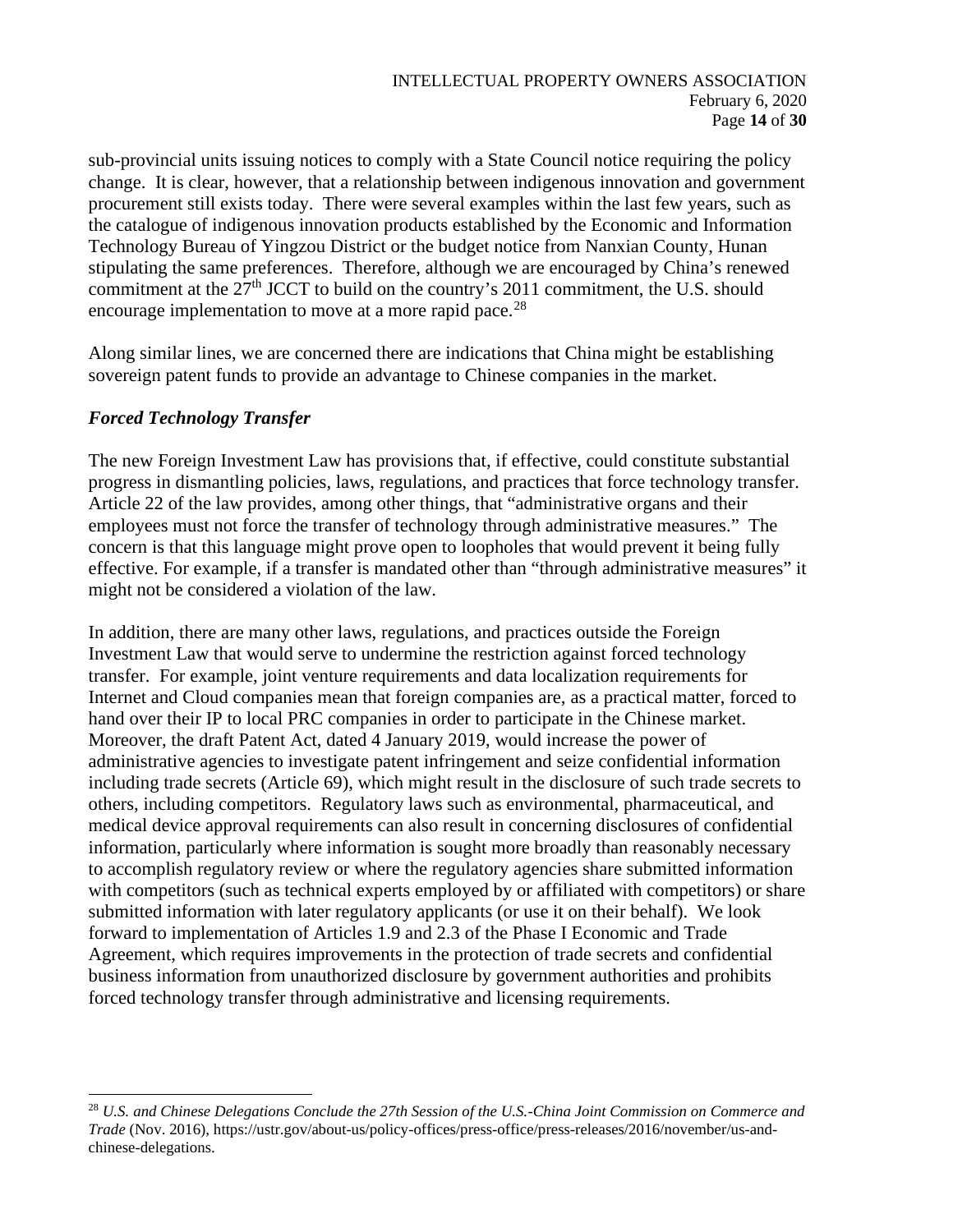sub-provincial units issuing notices to comply with a State Council notice requiring the policy change. It is clear, however, that a relationship between indigenous innovation and government procurement still exists today. There were several examples within the last few years, such as the catalogue of indigenous innovation products established by the Economic and Information Technology Bureau of Yingzou District or the budget notice from Nanxian County, Hunan stipulating the same preferences. Therefore, although we are encouraged by China's renewed commitment at the 27<sup>th</sup> JCCT to build on the country's 2011 commitment, the U.S. should encourage implementation to move at a more rapid pace.<sup>[28](#page-13-0)</sup>

Along similar lines, we are concerned there are indications that China might be establishing sovereign patent funds to provide an advantage to Chinese companies in the market.

## *Forced Technology Transfer*

The new Foreign Investment Law has provisions that, if effective, could constitute substantial progress in dismantling policies, laws, regulations, and practices that force technology transfer. Article 22 of the law provides, among other things, that "administrative organs and their employees must not force the transfer of technology through administrative measures." The concern is that this language might prove open to loopholes that would prevent it being fully effective. For example, if a transfer is mandated other than "through administrative measures" it might not be considered a violation of the law.

In addition, there are many other laws, regulations, and practices outside the Foreign Investment Law that would serve to undermine the restriction against forced technology transfer. For example, joint venture requirements and data localization requirements for Internet and Cloud companies mean that foreign companies are, as a practical matter, forced to hand over their IP to local PRC companies in order to participate in the Chinese market. Moreover, the draft Patent Act, dated 4 January 2019, would increase the power of administrative agencies to investigate patent infringement and seize confidential information including trade secrets (Article 69), which might result in the disclosure of such trade secrets to others, including competitors. Regulatory laws such as environmental, pharmaceutical, and medical device approval requirements can also result in concerning disclosures of confidential information, particularly where information is sought more broadly than reasonably necessary to accomplish regulatory review or where the regulatory agencies share submitted information with competitors (such as technical experts employed by or affiliated with competitors) or share submitted information with later regulatory applicants (or use it on their behalf). We look forward to implementation of Articles 1.9 and 2.3 of the Phase I Economic and Trade Agreement, which requires improvements in the protection of trade secrets and confidential business information from unauthorized disclosure by government authorities and prohibits forced technology transfer through administrative and licensing requirements.

<span id="page-13-0"></span><sup>28</sup> *U.S. and Chinese Delegations Conclude the 27th Session of the U.S.-China Joint Commission on Commerce and Trade* (Nov. 2016), https://ustr.gov/about-us/policy-offices/press-office/press-releases/2016/november/us-andchinese-delegations.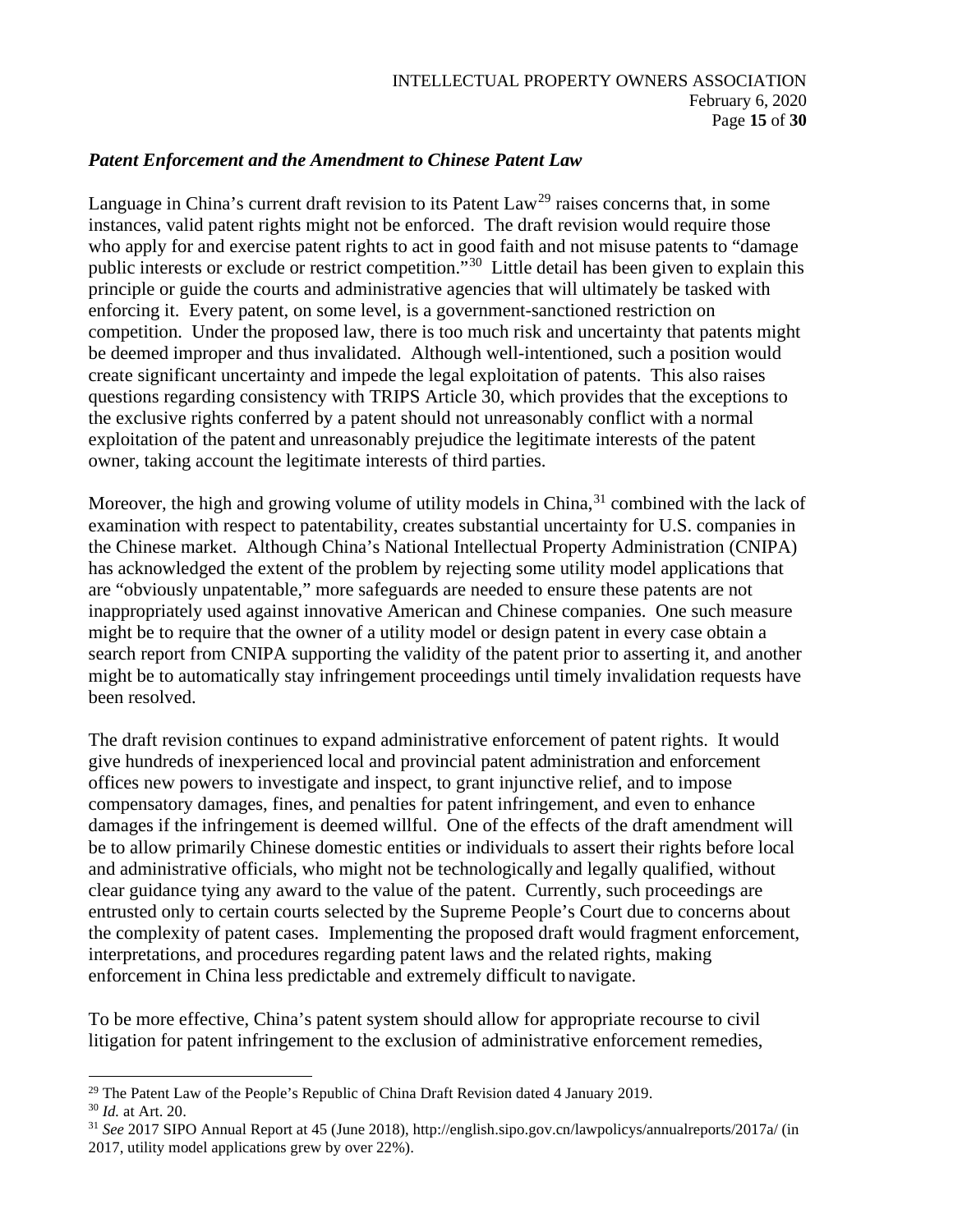### *Patent Enforcement and the Amendment to Chinese Patent Law*

Language in China's current draft revision to its Patent Law<sup>[29](#page-14-0)</sup> raises concerns that, in some instances, valid patent rights might not be enforced. The draft revision would require those who apply for and exercise patent rights to act in good faith and not misuse patents to "damage public interests or exclude or restrict competition."[30](#page-14-1) Little detail has been given to explain this principle or guide the courts and administrative agencies that will ultimately be tasked with enforcing it. Every patent, on some level, is a government-sanctioned restriction on competition. Under the proposed law, there is too much risk and uncertainty that patents might be deemed improper and thus invalidated. Although well-intentioned, such a position would create significant uncertainty and impede the legal exploitation of patents. This also raises questions regarding consistency with TRIPS Article 30, which provides that the exceptions to the exclusive rights conferred by a patent should not unreasonably conflict with a normal exploitation of the patent and unreasonably prejudice the legitimate interests of the patent owner, taking account the legitimate interests of third parties.

Moreover, the high and growing volume of utility models in China,  $31$  combined with the lack of examination with respect to patentability, creates substantial uncertainty for U.S. companies in the Chinese market. Although China's National Intellectual Property Administration (CNIPA) has acknowledged the extent of the problem by rejecting some utility model applications that are "obviously unpatentable," more safeguards are needed to ensure these patents are not inappropriately used against innovative American and Chinese companies. One such measure might be to require that the owner of a utility model or design patent in every case obtain a search report from CNIPA supporting the validity of the patent prior to asserting it, and another might be to automatically stay infringement proceedings until timely invalidation requests have been resolved.

The draft revision continues to expand administrative enforcement of patent rights. It would give hundreds of inexperienced local and provincial patent administration and enforcement offices new powers to investigate and inspect, to grant injunctive relief, and to impose compensatory damages, fines, and penalties for patent infringement, and even to enhance damages if the infringement is deemed willful. One of the effects of the draft amendment will be to allow primarily Chinese domestic entities or individuals to assert their rights before local and administrative officials, who might not be technologically and legally qualified, without clear guidance tying any award to the value of the patent. Currently, such proceedings are entrusted only to certain courts selected by the Supreme People's Court due to concerns about the complexity of patent cases. Implementing the proposed draft would fragment enforcement, interpretations, and procedures regarding patent laws and the related rights, making enforcement in China less predictable and extremely difficult to navigate.

To be more effective, China's patent system should allow for appropriate recourse to civil litigation for patent infringement to the exclusion of administrative enforcement remedies,

<span id="page-14-0"></span><sup>&</sup>lt;sup>29</sup> The Patent Law of the People's Republic of China Draft Revision dated 4 January 2019.<br><sup>30</sup> *Id.* at Art. 20.

<span id="page-14-1"></span>

<span id="page-14-2"></span><sup>31</sup> *See* 2017 SIPO Annual Report at 45 (June 2018), http://english.sipo.gov.cn/lawpolicys/annualreports/2017a/ (in 2017, utility model applications grew by over 22%).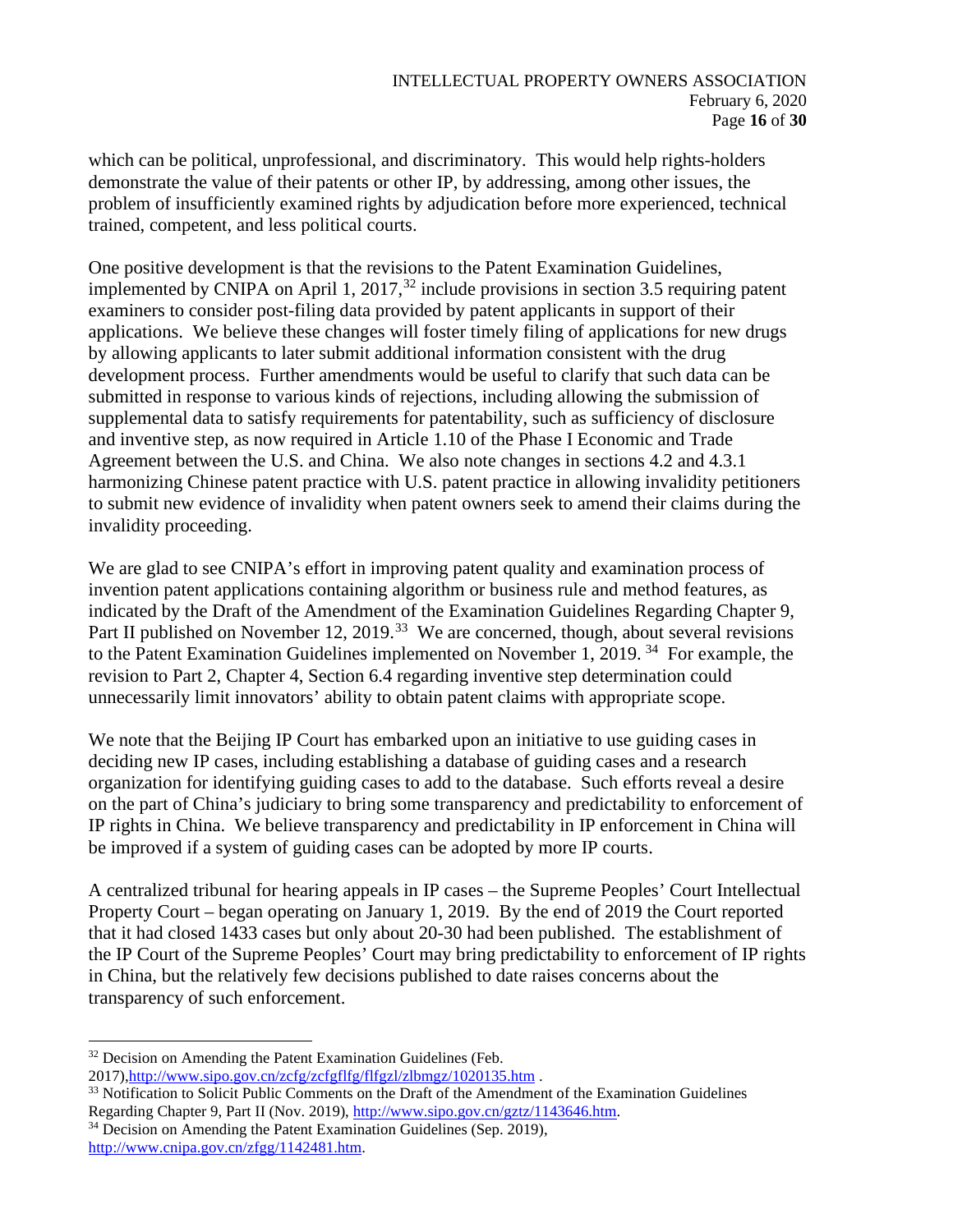which can be political, unprofessional, and discriminatory. This would help rights-holders demonstrate the value of their patents or other IP, by addressing, among other issues, the problem of insufficiently examined rights by adjudication before more experienced, technical trained, competent, and less political courts.

One positive development is that the revisions to the Patent Examination Guidelines, implemented by CNIPA on April 1, 2017,<sup>[32](#page-15-0)</sup> include provisions in section 3.5 requiring patent examiners to consider post-filing data provided by patent applicants in support of their applications. We believe these changes will foster timely filing of applications for new drugs by allowing applicants to later submit additional information consistent with the drug development process. Further amendments would be useful to clarify that such data can be submitted in response to various kinds of rejections, including allowing the submission of supplemental data to satisfy requirements for patentability, such as sufficiency of disclosure and inventive step, as now required in Article 1.10 of the Phase I Economic and Trade Agreement between the U.S. and China. We also note changes in sections 4.2 and 4.3.1 harmonizing Chinese patent practice with U.S. patent practice in allowing invalidity petitioners to submit new evidence of invalidity when patent owners seek to amend their claims during the invalidity proceeding.

We are glad to see CNIPA's effort in improving patent quality and examination process of invention patent applications containing algorithm or business rule and method features, as indicated by the Draft of the Amendment of the Examination Guidelines Regarding Chapter 9, Part II published on November 12, 2019.<sup>[33](#page-15-1)</sup> We are concerned, though, about several revisions to the Patent Examination Guidelines implemented on November 1, 2019. [34](#page-15-2) For example, the revision to Part 2, Chapter 4, Section 6.4 regarding inventive step determination could unnecessarily limit innovators' ability to obtain patent claims with appropriate scope.

We note that the Beijing IP Court has embarked upon an initiative to use guiding cases in deciding new IP cases, including establishing a database of guiding cases and a research organization for identifying guiding cases to add to the database. Such efforts reveal a desire on the part of China's judiciary to bring some transparency and predictability to enforcement of IP rights in China. We believe transparency and predictability in IP enforcement in China will be improved if a system of guiding cases can be adopted by more IP courts.

A centralized tribunal for hearing appeals in IP cases – the Supreme Peoples' Court Intellectual Property Court – began operating on January 1, 2019. By the end of 2019 the Court reported that it had closed 1433 cases but only about 20-30 had been published. The establishment of the IP Court of the Supreme Peoples' Court may bring predictability to enforcement of IP rights in China, but the relatively few decisions published to date raises concerns about the transparency of such enforcement.

<span id="page-15-0"></span><sup>&</sup>lt;sup>32</sup> Decision on Amending the Patent Examination Guidelines (Feb.

<sup>2017</sup>[\),http://www.sipo.gov.cn/zcfg/zcfgflfg/flfgzl/zlbmgz/1020135.htm](http://www.sipo.gov.cn/zcfg/zcfgflfg/flfgzl/zlbmgz/1020135.htm) .

<span id="page-15-1"></span><sup>&</sup>lt;sup>33</sup> Notification to Solicit Public Comments on the Draft of the Amendment of the Examination Guidelines Regarding Chapter 9, Part II (Nov. 2019), [http://www.sipo.gov.cn/gztz/1143646.htm.](http://www.sipo.gov.cn/gztz/1143646.htm)

<span id="page-15-2"></span> $34$  Decision on Amending the Patent Examination Guidelines (Sep. 2019), [http://www.cnipa.gov.cn/zfgg/1142481.htm.](http://www.cnipa.gov.cn/zfgg/1142481.htm)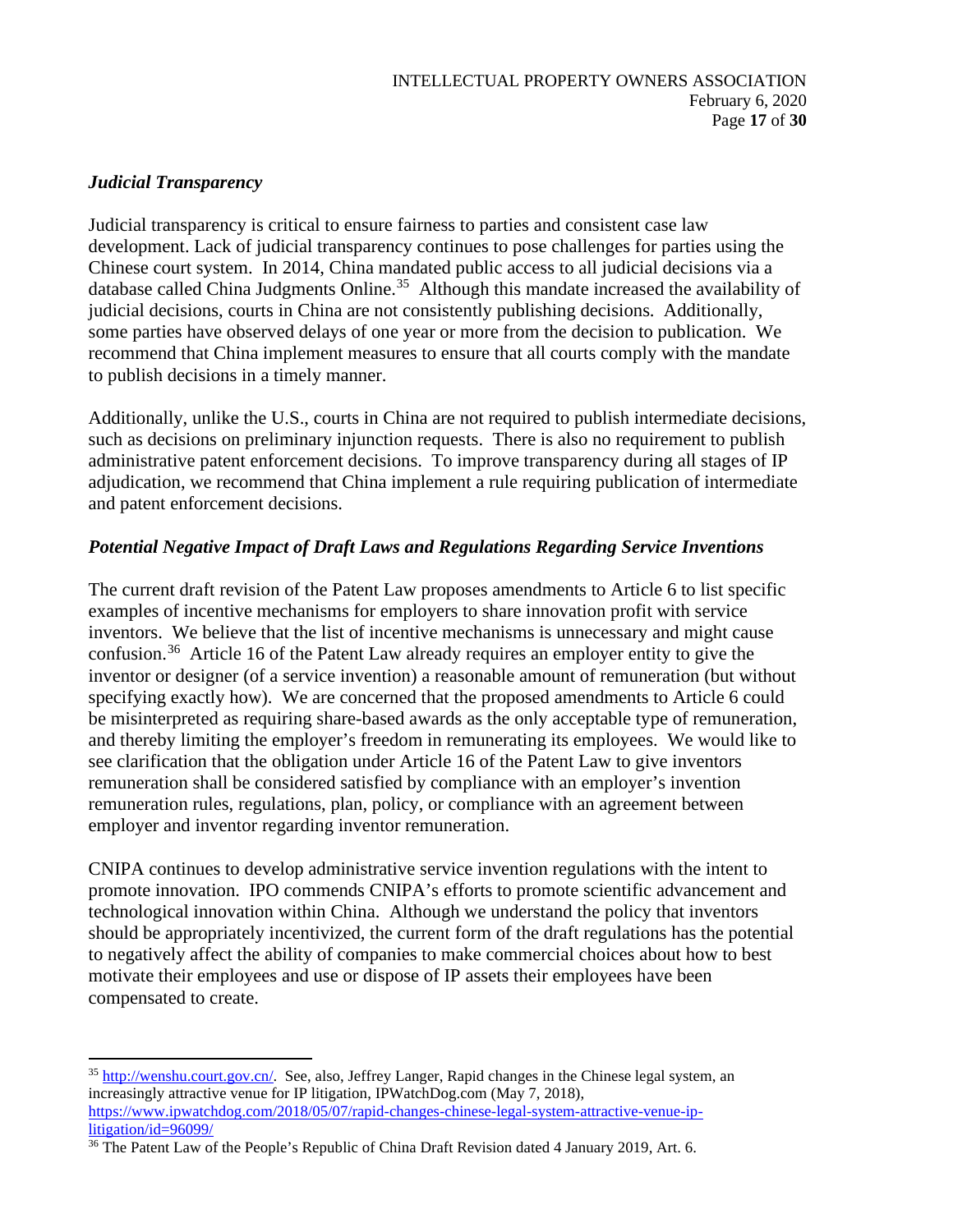## *Judicial Transparency*

Judicial transparency is critical to ensure fairness to parties and consistent case law development. Lack of judicial transparency continues to pose challenges for parties using the Chinese court system. In 2014, China mandated public access to all judicial decisions via a database called China Judgments Online.<sup>[35](#page-16-0)</sup> Although this mandate increased the availability of judicial decisions, courts in China are not consistently publishing decisions. Additionally, some parties have observed delays of one year or more from the decision to publication. We recommend that China implement measures to ensure that all courts comply with the mandate to publish decisions in a timely manner.

Additionally, unlike the U.S., courts in China are not required to publish intermediate decisions, such as decisions on preliminary injunction requests. There is also no requirement to publish administrative patent enforcement decisions. To improve transparency during all stages of IP adjudication, we recommend that China implement a rule requiring publication of intermediate and patent enforcement decisions.

## *Potential Negative Impact of Draft Laws and Regulations Regarding Service Inventions*

The current draft revision of the Patent Law proposes amendments to Article 6 to list specific examples of incentive mechanisms for employers to share innovation profit with service inventors. We believe that the list of incentive mechanisms is unnecessary and might cause confusion.<sup>36</sup> Article 16 of the Patent Law already requires an employer entity to give the inventor or designer (of a service invention) a reasonable amount of remuneration (but without specifying exactly how). We are concerned that the proposed amendments to Article 6 could be misinterpreted as requiring share-based awards as the only acceptable type of remuneration, and thereby limiting the employer's freedom in remunerating its employees. We would like to see clarification that the obligation under Article 16 of the Patent Law to give inventors remuneration shall be considered satisfied by compliance with an employer's invention remuneration rules, regulations, plan, policy, or compliance with an agreement between employer and inventor regarding inventor remuneration.

CNIPA continues to develop administrative service invention regulations with the intent to promote innovation. IPO commends CNIPA's efforts to promote scientific advancement and technological innovation within China. Although we understand the policy that inventors should be appropriately incentivized, the current form of the draft regulations has the potential to negatively affect the ability of companies to make commercial choices about how to best motivate their employees and use or dispose of IP assets their employees have been compensated to create.

<span id="page-16-0"></span><sup>&</sup>lt;sup>35</sup> [http://wenshu.court.gov.cn/.](http://wenshu.court.gov.cn/) See, also, Jeffrey Langer, Rapid changes in the Chinese legal system, an increasingly attractive venue for IP litigation, IPWatchDog.com (May 7, 2018), [https://www.ipwatchdog.com/2018/05/07/rapid-changes-chinese-legal-system-attractive-venue-ip](https://www.ipwatchdog.com/2018/05/07/rapid-changes-chinese-legal-system-attractive-venue-ip-litigation/id=96099/)[litigation/id=96099/](https://www.ipwatchdog.com/2018/05/07/rapid-changes-chinese-legal-system-attractive-venue-ip-litigation/id=96099/)

<span id="page-16-1"></span><sup>&</sup>lt;sup>36</sup> The Patent Law of the People's Republic of China Draft Revision dated 4 January 2019, Art. 6.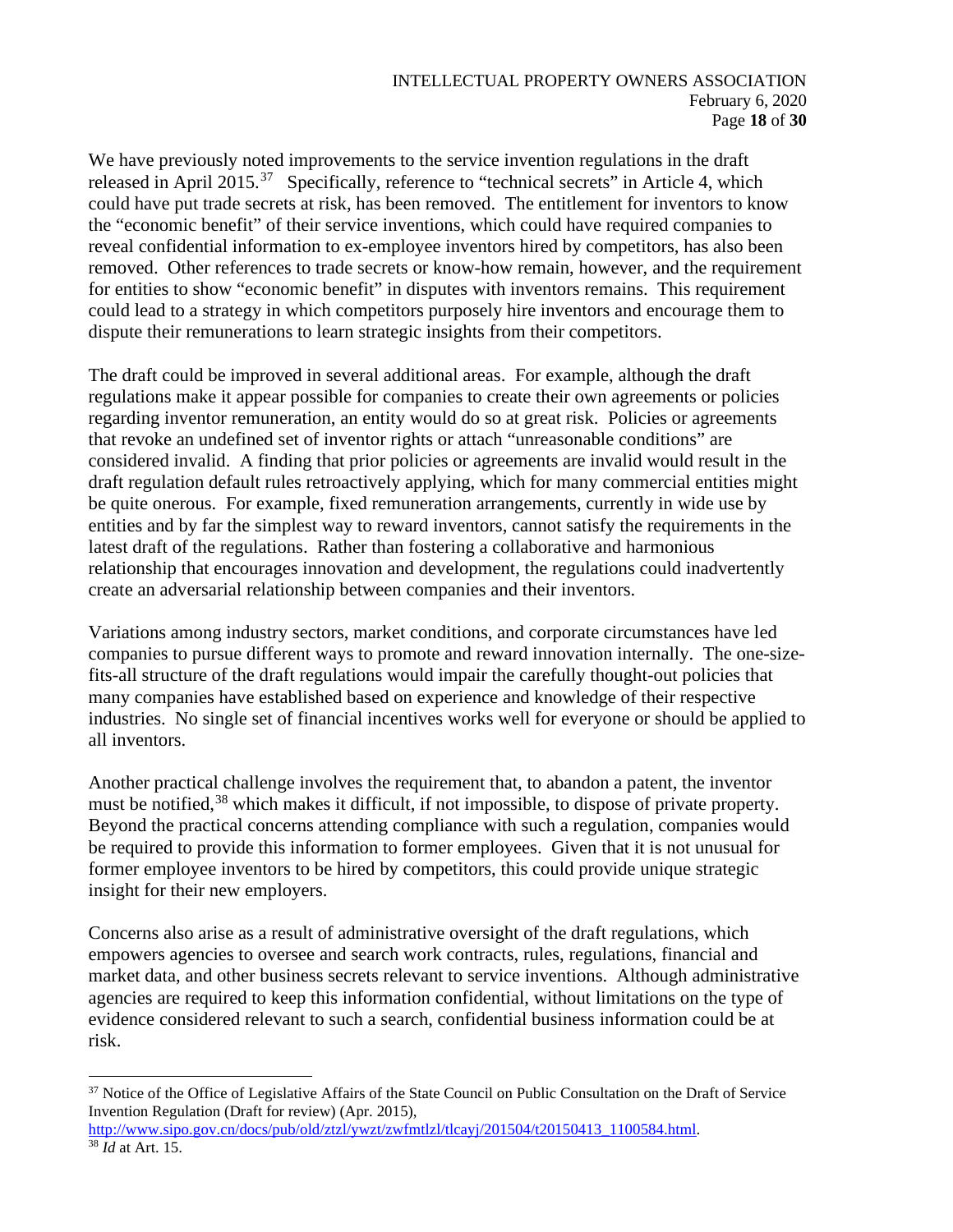#### INTELLECTUAL PROPERTY OWNERS ASSOCIATION February 6, 2020 Page **18** of **30**

We have previously noted improvements to the service invention regulations in the draft released in April 2015.<sup>37</sup> Specifically, reference to "technical secrets" in Article 4, which could have put trade secrets at risk, has been removed. The entitlement for inventors to know the "economic benefit" of their service inventions, which could have required companies to reveal confidential information to ex-employee inventors hired by competitors, has also been removed. Other references to trade secrets or know-how remain, however, and the requirement for entities to show "economic benefit" in disputes with inventors remains. This requirement could lead to a strategy in which competitors purposely hire inventors and encourage them to dispute their remunerations to learn strategic insights from their competitors.

The draft could be improved in several additional areas. For example, although the draft regulations make it appear possible for companies to create their own agreements or policies regarding inventor remuneration, an entity would do so at great risk. Policies or agreements that revoke an undefined set of inventor rights or attach "unreasonable conditions" are considered invalid. A finding that prior policies or agreements are invalid would result in the draft regulation default rules retroactively applying, which for many commercial entities might be quite onerous. For example, fixed remuneration arrangements, currently in wide use by entities and by far the simplest way to reward inventors, cannot satisfy the requirements in the latest draft of the regulations. Rather than fostering a collaborative and harmonious relationship that encourages innovation and development, the regulations could inadvertently create an adversarial relationship between companies and their inventors.

Variations among industry sectors, market conditions, and corporate circumstances have led companies to pursue different ways to promote and reward innovation internally. The one-sizefits-all structure of the draft regulations would impair the carefully thought-out policies that many companies have established based on experience and knowledge of their respective industries. No single set of financial incentives works well for everyone or should be applied to all inventors.

Another practical challenge involves the requirement that, to abandon a patent, the inventor must be notified,<sup>[38](#page-17-1)</sup> which makes it difficult, if not impossible, to dispose of private property. Beyond the practical concerns attending compliance with such a regulation, companies would be required to provide this information to former employees. Given that it is not unusual for former employee inventors to be hired by competitors, this could provide unique strategic insight for their new employers.

Concerns also arise as a result of administrative oversight of the draft regulations, which empowers agencies to oversee and search work contracts, rules, regulations, financial and market data, and other business secrets relevant to service inventions. Although administrative agencies are required to keep this information confidential, without limitations on the type of evidence considered relevant to such a search, confidential business information could be at risk.

<span id="page-17-0"></span><sup>&</sup>lt;sup>37</sup> Notice of the Office of Legislative Affairs of the State Council on Public Consultation on the Draft of Service Invention Regulation (Draft for review) (Apr. 2015),

<span id="page-17-1"></span>[http://www.sipo.gov.cn/docs/pub/old/ztzl/ywzt/zwfmtlzl/tlcayj/201504/t20150413\\_1100584.html.](http://www.sipo.gov.cn/docs/pub/old/ztzl/ywzt/zwfmtlzl/tlcayj/201504/t20150413_1100584.html) <sup>38</sup> *Id* at Art. 15.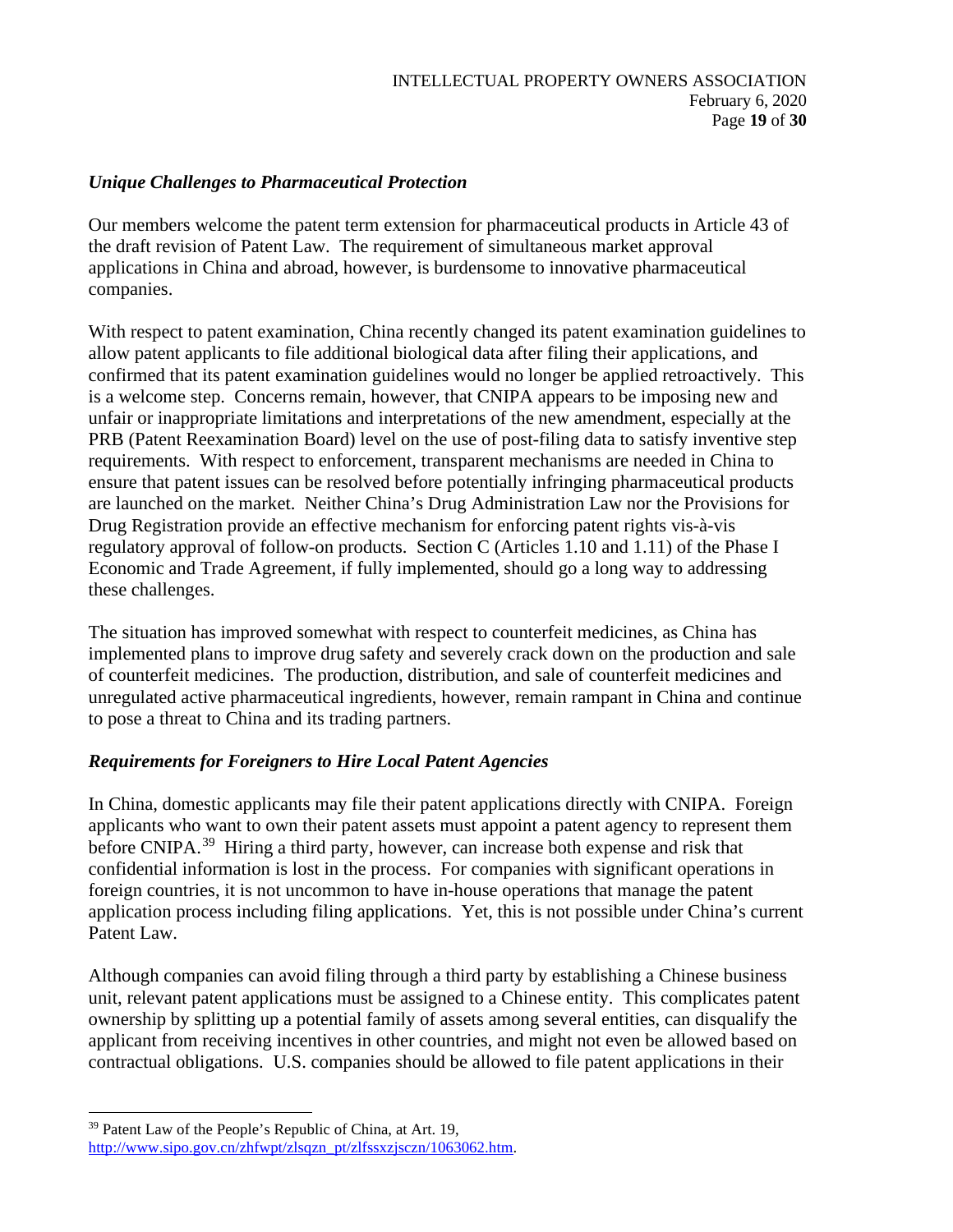### *Unique Challenges to Pharmaceutical Protection*

Our members welcome the patent term extension for pharmaceutical products in Article 43 of the draft revision of Patent Law. The requirement of simultaneous market approval applications in China and abroad, however, is burdensome to innovative pharmaceutical companies.

With respect to patent examination, China recently changed its patent examination guidelines to allow patent applicants to file additional biological data after filing their applications, and confirmed that its patent examination guidelines would no longer be applied retroactively. This is a welcome step. Concerns remain, however, that CNIPA appears to be imposing new and unfair or inappropriate limitations and interpretations of the new amendment, especially at the PRB (Patent Reexamination Board) level on the use of post-filing data to satisfy inventive step requirements. With respect to enforcement, transparent mechanisms are needed in China to ensure that patent issues can be resolved before potentially infringing pharmaceutical products are launched on the market. Neither China's Drug Administration Law nor the Provisions for Drug Registration provide an effective mechanism for enforcing patent rights vis-à-vis regulatory approval of follow-on products. Section C (Articles 1.10 and 1.11) of the Phase I Economic and Trade Agreement, if fully implemented, should go a long way to addressing these challenges.

The situation has improved somewhat with respect to counterfeit medicines, as China has implemented plans to improve drug safety and severely crack down on the production and sale of counterfeit medicines. The production, distribution, and sale of counterfeit medicines and unregulated active pharmaceutical ingredients, however, remain rampant in China and continue to pose a threat to China and its trading partners.

## *Requirements for Foreigners to Hire Local Patent Agencies*

In China, domestic applicants may file their patent applications directly with CNIPA. Foreign applicants who want to own their patent assets must appoint a patent agency to represent them before CNIPA.<sup>[39](#page-18-0)</sup> Hiring a third party, however, can increase both expense and risk that confidential information is lost in the process. For companies with significant operations in foreign countries, it is not uncommon to have in-house operations that manage the patent application process including filing applications. Yet, this is not possible under China's current Patent Law.

Although companies can avoid filing through a third party by establishing a Chinese business unit, relevant patent applications must be assigned to a Chinese entity. This complicates patent ownership by splitting up a potential family of assets among several entities, can disqualify the applicant from receiving incentives in other countries, and might not even be allowed based on contractual obligations. U.S. companies should be allowed to file patent applications in their

<span id="page-18-0"></span><sup>39</sup> Patent Law of the People's Republic of China, at Art. 19,

[http://www.sipo.gov.cn/zhfwpt/zlsqzn\\_pt/zlfssxzjsczn/1063062.htm.](http://www.sipo.gov.cn/zhfwpt/zlsqzn_pt/zlfssxzjsczn/1063062.htm)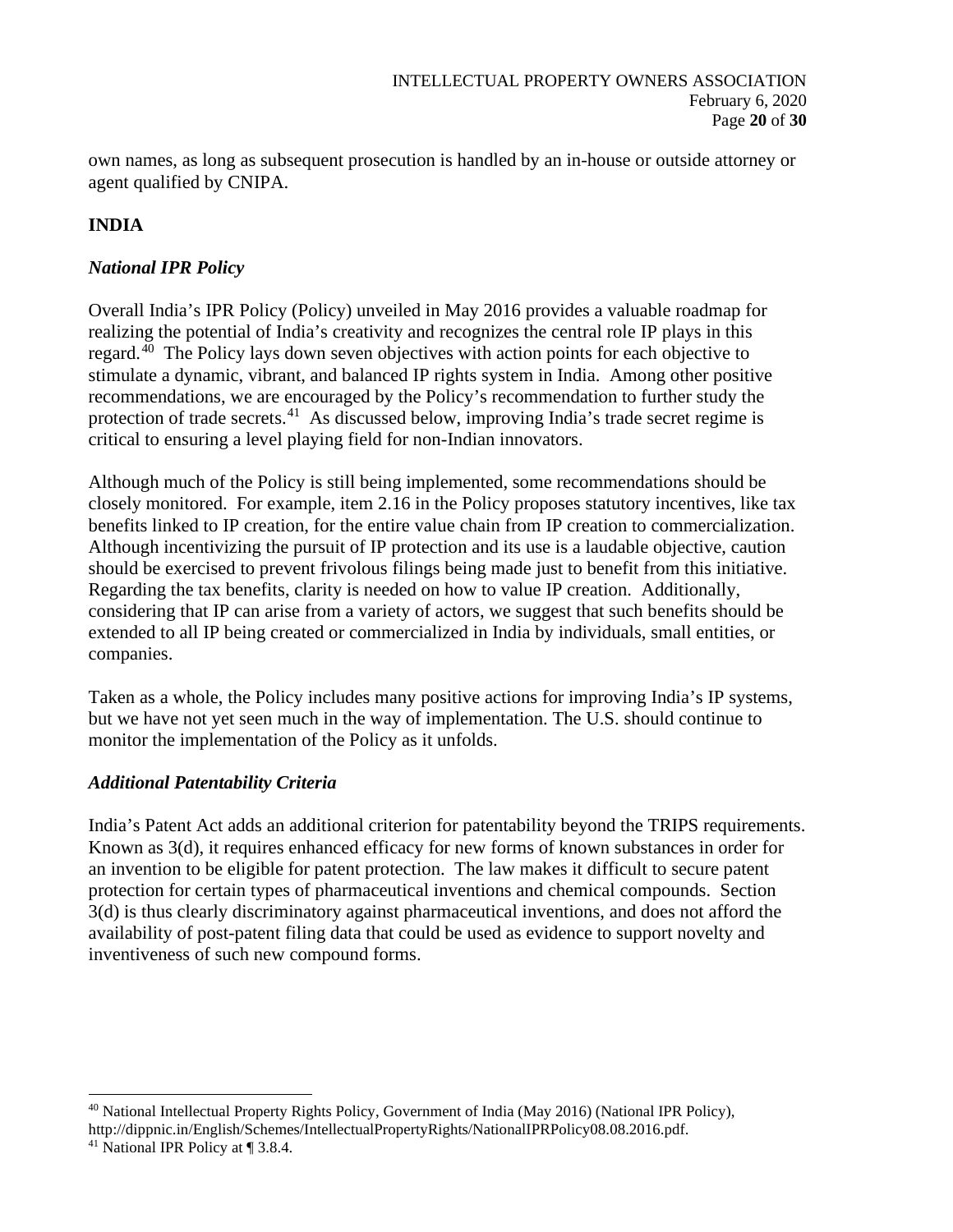own names, as long as subsequent prosecution is handled by an in-house or outside attorney or agent qualified by CNIPA.

# **INDIA**

## *National IPR Policy*

Overall India's IPR Policy (Policy) unveiled in May 2016 provides a valuable roadmap for realizing the potential of India's creativity and recognizes the central role IP plays in this regard.[40](#page-19-0) The Policy lays down seven objectives with action points for each objective to stimulate a dynamic, vibrant, and balanced IP rights system in India. Among other positive recommendations, we are encouraged by the Policy's recommendation to further study the protection of trade secrets.<sup>41</sup> As discussed below, improving India's trade secret regime is critical to ensuring a level playing field for non-Indian innovators.

Although much of the Policy is still being implemented, some recommendations should be closely monitored. For example, item 2.16 in the Policy proposes statutory incentives, like tax benefits linked to IP creation, for the entire value chain from IP creation to commercialization. Although incentivizing the pursuit of IP protection and its use is a laudable objective, caution should be exercised to prevent frivolous filings being made just to benefit from this initiative. Regarding the tax benefits, clarity is needed on how to value IP creation. Additionally, considering that IP can arise from a variety of actors, we suggest that such benefits should be extended to all IP being created or commercialized in India by individuals, small entities, or companies.

Taken as a whole, the Policy includes many positive actions for improving India's IP systems, but we have not yet seen much in the way of implementation. The U.S. should continue to monitor the implementation of the Policy as it unfolds.

## *Additional Patentability Criteria*

India's Patent Act adds an additional criterion for patentability beyond the TRIPS requirements. Known as 3(d), it requires enhanced efficacy for new forms of known substances in order for an invention to be eligible for patent protection. The law makes it difficult to secure patent protection for certain types of pharmaceutical inventions and chemical compounds. Section 3(d) is thus clearly discriminatory against pharmaceutical inventions, and does not afford the availability of post-patent filing data that could be used as evidence to support novelty and inventiveness of such new compound forms.

<span id="page-19-0"></span><sup>40</sup> National Intellectual Property Rights Policy, Government of India (May 2016) (National IPR Policy),

http://dippnic.in/English/Schemes/IntellectualPropertyRights/NationalIPRPolicy08.08.2016.pdf.

<span id="page-19-1"></span><sup>41</sup> National IPR Policy at ¶ 3.8.4.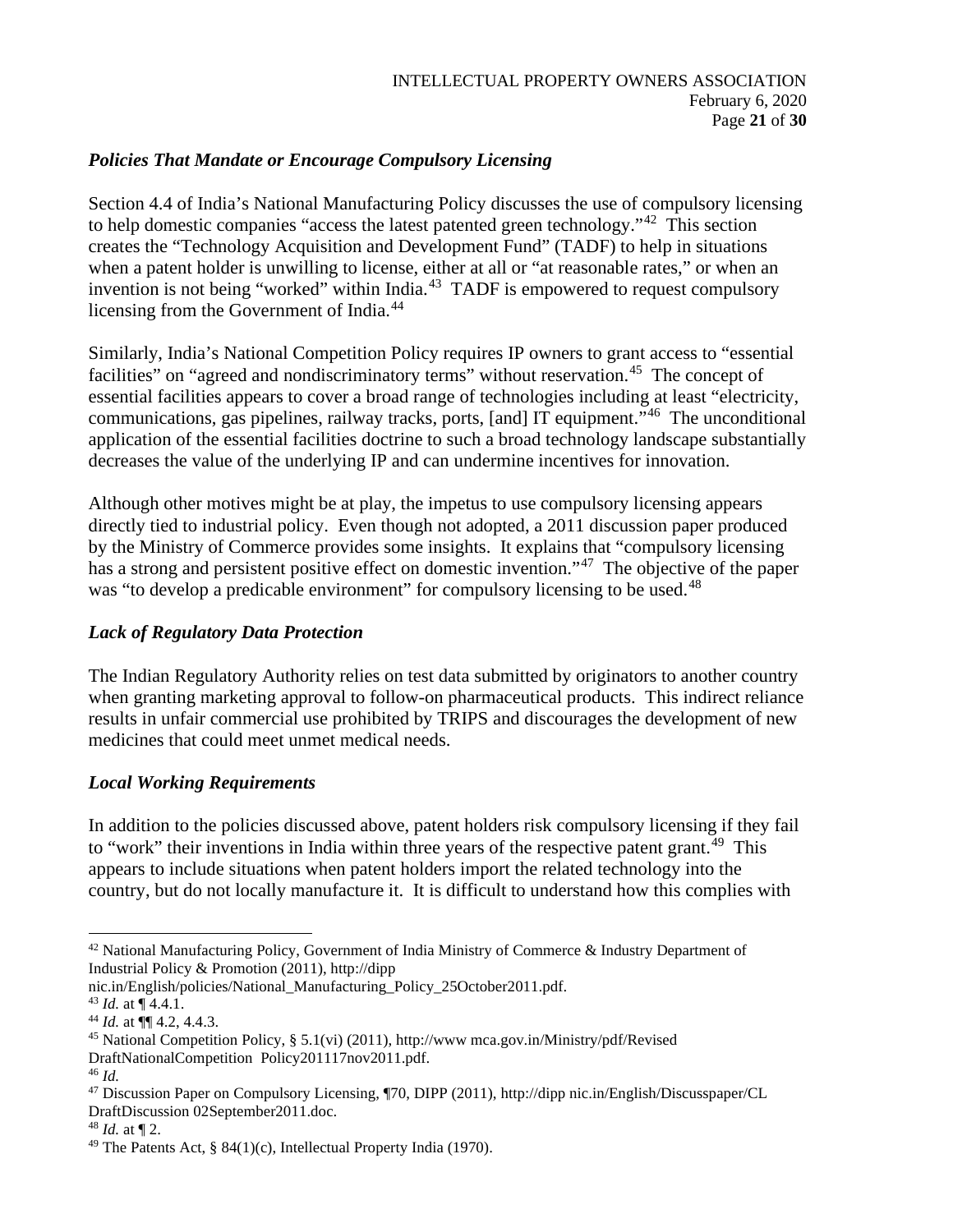### *Policies That Mandate or Encourage Compulsory Licensing*

Section 4.4 of India's National Manufacturing Policy discusses the use of compulsory licensing to help domestic companies "access the latest patented green technology."<sup>[42](#page-20-0)</sup> This section creates the "Technology Acquisition and Development Fund" (TADF) to help in situations when a patent holder is unwilling to license, either at all or "at reasonable rates," or when an invention is not being "worked" within India.<sup>43</sup> TADF is empowered to request compulsory licensing from the Government of India.<sup>[44](#page-20-2)</sup>

Similarly, India's National Competition Policy requires IP owners to grant access to "essential facilities" on "agreed and nondiscriminatory terms" without reservation.<sup>45</sup> The concept of essential facilities appears to cover a broad range of technologies including at least "electricity, communications, gas pipelines, railway tracks, ports, [and] IT equipment."[46](#page-20-4) The unconditional application of the essential facilities doctrine to such a broad technology landscape substantially decreases the value of the underlying IP and can undermine incentives for innovation.

Although other motives might be at play, the impetus to use compulsory licensing appears directly tied to industrial policy. Even though not adopted, a 2011 discussion paper produced by the Ministry of Commerce provides some insights. It explains that "compulsory licensing has a strong and persistent positive effect on domestic invention."<sup>47</sup> The objective of the paper was "to develop a predicable environment" for compulsory licensing to be used.<sup>[48](#page-20-6)</sup>

## *Lack of Regulatory Data Protection*

The Indian Regulatory Authority relies on test data submitted by originators to another country when granting marketing approval to follow-on pharmaceutical products. This indirect reliance results in unfair commercial use prohibited by TRIPS and discourages the development of new medicines that could meet unmet medical needs.

## *Local Working Requirements*

In addition to the policies discussed above, patent holders risk compulsory licensing if they fail to "work" their inventions in India within three years of the respective patent grant.<sup>[49](#page-20-7)</sup> This appears to include situations when patent holders import the related technology into the country, but do not locally manufacture it. It is difficult to understand how this complies with

<span id="page-20-0"></span><sup>&</sup>lt;sup>42</sup> National Manufacturing Policy, Government of India Ministry of Commerce & Industry Department of Industrial Policy & Promotion (2011), http://dipp

nic.in/English/policies/National\_Manufacturing\_Policy\_25October2011.pdf.

<span id="page-20-1"></span><sup>43</sup> *Id.* at ¶ 4.4.1.

<span id="page-20-2"></span><sup>44</sup> *Id.* at ¶¶ 4.2, 4.4.3.

<span id="page-20-3"></span><sup>45</sup> National Competition Policy, § 5.1(vi) (2011), http://www mca.gov.in/Ministry/pdf/Revised DraftNationalCompetition Policy201117nov2011.pdf.

<span id="page-20-4"></span><sup>46</sup> *Id.*

<span id="page-20-5"></span><sup>47</sup> Discussion Paper on Compulsory Licensing, ¶70, DIPP (2011), http://dipp nic.in/English/Discusspaper/CL DraftDiscussion 02September2011.doc.

<span id="page-20-6"></span><sup>48</sup> *Id.* at ¶ 2.

<span id="page-20-7"></span><sup>&</sup>lt;sup>49</sup> The Patents Act, § 84(1)(c), Intellectual Property India (1970).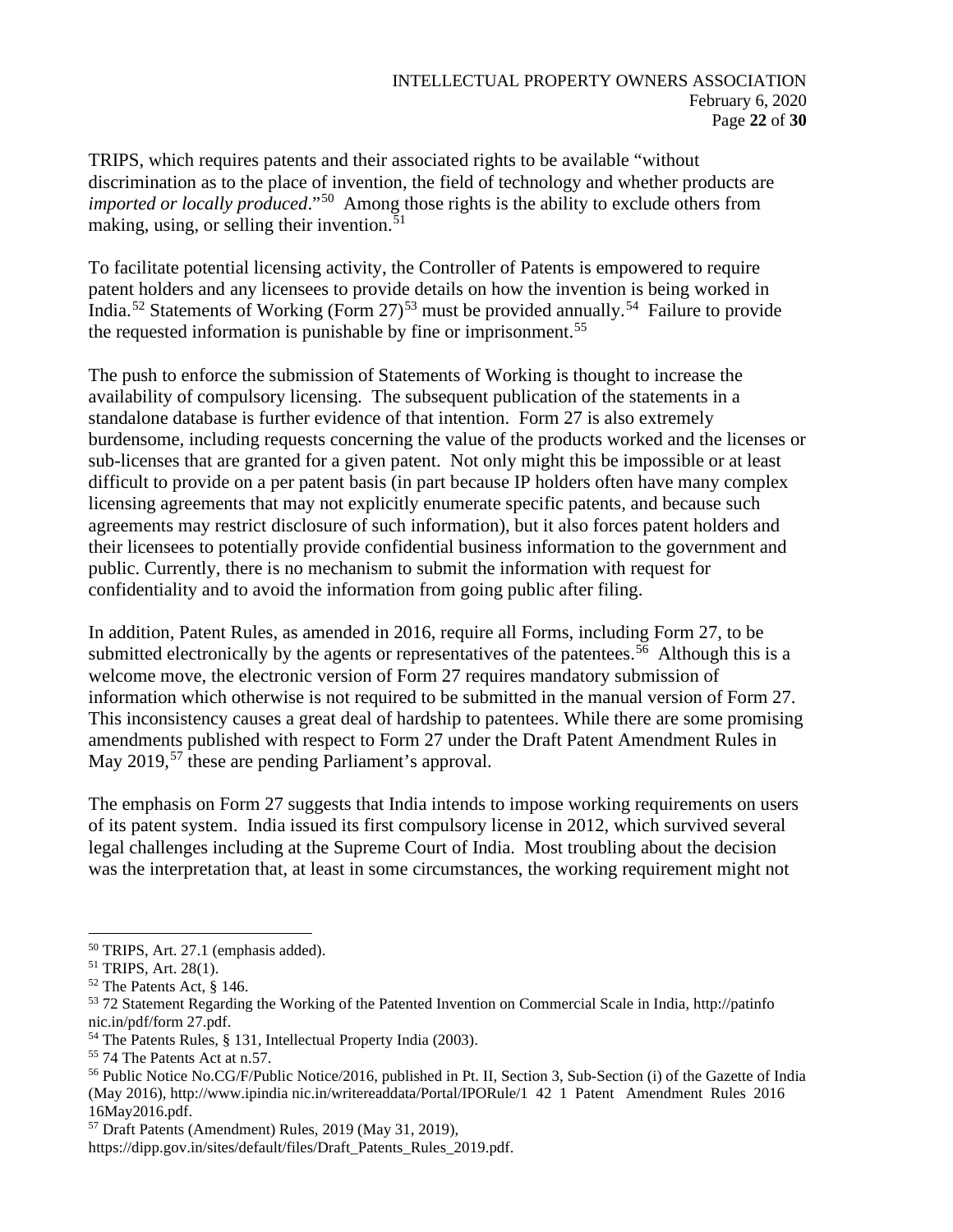TRIPS, which requires patents and their associated rights to be available "without discrimination as to the place of invention, the field of technology and whether products are *imported or locally produced*."[50](#page-21-0) Among those rights is the ability to exclude others from making, using, or selling their invention.<sup>[51](#page-21-1)</sup>

To facilitate potential licensing activity, the Controller of Patents is empowered to require patent holders and any licensees to provide details on how the invention is being worked in India.<sup>[52](#page-21-2)</sup> Statements of Working (Form 27)<sup>[53](#page-21-3)</sup> must be provided annually.<sup>54</sup> Failure to provide the requested information is punishable by fine or imprisonment.<sup>[55](#page-21-5)</sup>

The push to enforce the submission of Statements of Working is thought to increase the availability of compulsory licensing. The subsequent publication of the statements in a standalone database is further evidence of that intention. Form 27 is also extremely burdensome, including requests concerning the value of the products worked and the licenses or sub-licenses that are granted for a given patent. Not only might this be impossible or at least difficult to provide on a per patent basis (in part because IP holders often have many complex licensing agreements that may not explicitly enumerate specific patents, and because such agreements may restrict disclosure of such information), but it also forces patent holders and their licensees to potentially provide confidential business information to the government and public. Currently, there is no mechanism to submit the information with request for confidentiality and to avoid the information from going public after filing.

In addition, Patent Rules, as amended in 2016, require all Forms, including Form 27, to be submitted electronically by the agents or representatives of the patentees.<sup>56</sup> Although this is a welcome move, the electronic version of Form 27 requires mandatory submission of information which otherwise is not required to be submitted in the manual version of Form 27. This inconsistency causes a great deal of hardship to patentees. While there are some promising amendments published with respect to Form 27 under the Draft Patent Amendment Rules in May 2019,<sup>[57](#page-21-7)</sup> these are pending Parliament's approval.

The emphasis on Form 27 suggests that India intends to impose working requirements on users of its patent system. India issued its first compulsory license in 2012, which survived several legal challenges including at the Supreme Court of India. Most troubling about the decision was the interpretation that, at least in some circumstances, the working requirement might not

<span id="page-21-0"></span><sup>50</sup> TRIPS, Art. 27.1 (emphasis added).

<span id="page-21-1"></span><sup>51</sup> TRIPS, Art. 28(1).

<span id="page-21-2"></span><sup>52</sup> The Patents Act, § 146.

<span id="page-21-3"></span><sup>53</sup> 72 Statement Regarding the Working of the Patented Invention on Commercial Scale in India, http://patinfo nic.in/pdf/form 27.pdf.

<span id="page-21-4"></span><sup>54</sup> The Patents Rules, § 131, Intellectual Property India (2003).

<span id="page-21-5"></span><sup>55</sup> 74 The Patents Act at n.57.

<span id="page-21-6"></span><sup>56</sup> Public Notice No.CG/F/Public Notice/2016, published in Pt. II, Section 3, Sub-Section (i) of the Gazette of India (May 2016), http://www.ipindia nic.in/writereaddata/Portal/IPORule/1 42 1 Patent Amendment Rules 2016 16May2016.pdf.

<span id="page-21-7"></span><sup>57</sup> Draft Patents (Amendment) Rules, 2019 (May 31, 2019),

https://dipp.gov.in/sites/default/files/Draft\_Patents\_Rules\_2019.pdf.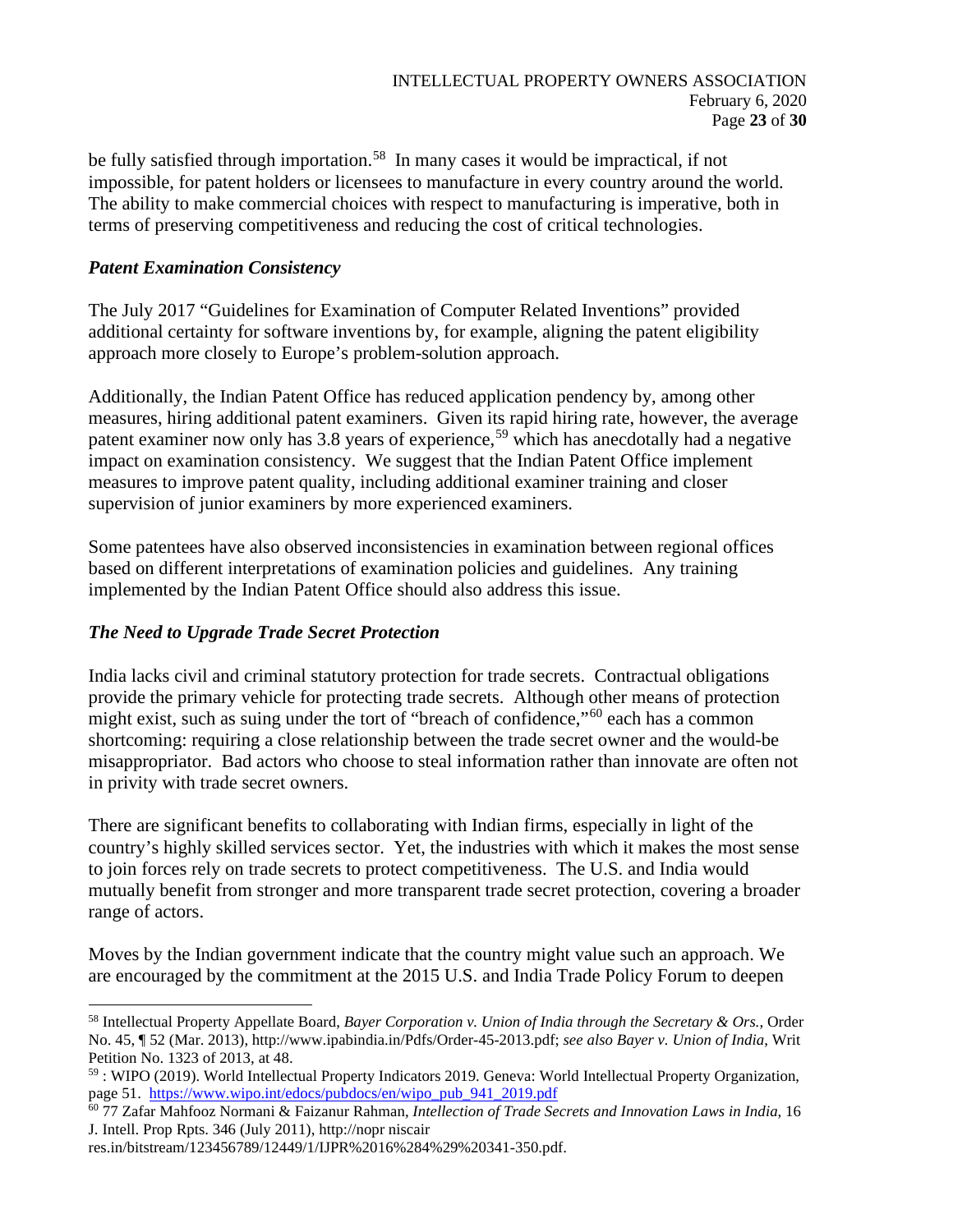be fully satisfied through importation.<sup>58</sup> In many cases it would be impractical, if not impossible, for patent holders or licensees to manufacture in every country around the world. The ability to make commercial choices with respect to manufacturing is imperative, both in terms of preserving competitiveness and reducing the cost of critical technologies.

### *Patent Examination Consistency*

The July 2017 "Guidelines for Examination of Computer Related Inventions" provided additional certainty for software inventions by, for example, aligning the patent eligibility approach more closely to Europe's problem-solution approach.

Additionally, the Indian Patent Office has reduced application pendency by, among other measures, hiring additional patent examiners. Given its rapid hiring rate, however, the average patent examiner now only has 3.8 years of experience,<sup>[59](#page-22-1)</sup> which has anecdotally had a negative impact on examination consistency. We suggest that the Indian Patent Office implement measures to improve patent quality, including additional examiner training and closer supervision of junior examiners by more experienced examiners.

Some patentees have also observed inconsistencies in examination between regional offices based on different interpretations of examination policies and guidelines. Any training implemented by the Indian Patent Office should also address this issue.

## *The Need to Upgrade Trade Secret Protection*

India lacks civil and criminal statutory protection for trade secrets. Contractual obligations provide the primary vehicle for protecting trade secrets. Although other means of protection might exist, such as suing under the tort of "breach of confidence,"<sup>[60](#page-22-2)</sup> each has a common shortcoming: requiring a close relationship between the trade secret owner and the would-be misappropriator. Bad actors who choose to steal information rather than innovate are often not in privity with trade secret owners.

There are significant benefits to collaborating with Indian firms, especially in light of the country's highly skilled services sector. Yet, the industries with which it makes the most sense to join forces rely on trade secrets to protect competitiveness. The U.S. and India would mutually benefit from stronger and more transparent trade secret protection, covering a broader range of actors.

Moves by the Indian government indicate that the country might value such an approach. We are encouraged by the commitment at the 2015 U.S. and India Trade Policy Forum to deepen

<span id="page-22-0"></span><sup>58</sup> Intellectual Property Appellate Board, *Bayer Corporation v. Union of India through the Secretary & Ors.*, Order No. 45, ¶ 52 (Mar. 2013), http://www.ipabindia.in/Pdfs/Order-45-2013.pdf; *see also Bayer v. Union of India*, Writ Petition No. 1323 of 2013, at 48.

<span id="page-22-1"></span> $59$ : WIPO (2019). World Intellectual Property Indicators 2019. Geneva: World Intellectual Property Organization, page 51. https://www.wipo.int/edocs/pubdocs/en/wipo pub 941 2019.pdf

<span id="page-22-2"></span><sup>&</sup>lt;sup>60</sup>77 Zafar Mahfooz Normani & Faizanur Rahman, *Intellection of Trade Secrets and Innovation Laws in India*, 16 J. Intell. Prop Rpts. 346 (July 2011), http://nopr niscair

res.in/bitstream/123456789/12449/1/IJPR%2016%284%29%20341-350.pdf.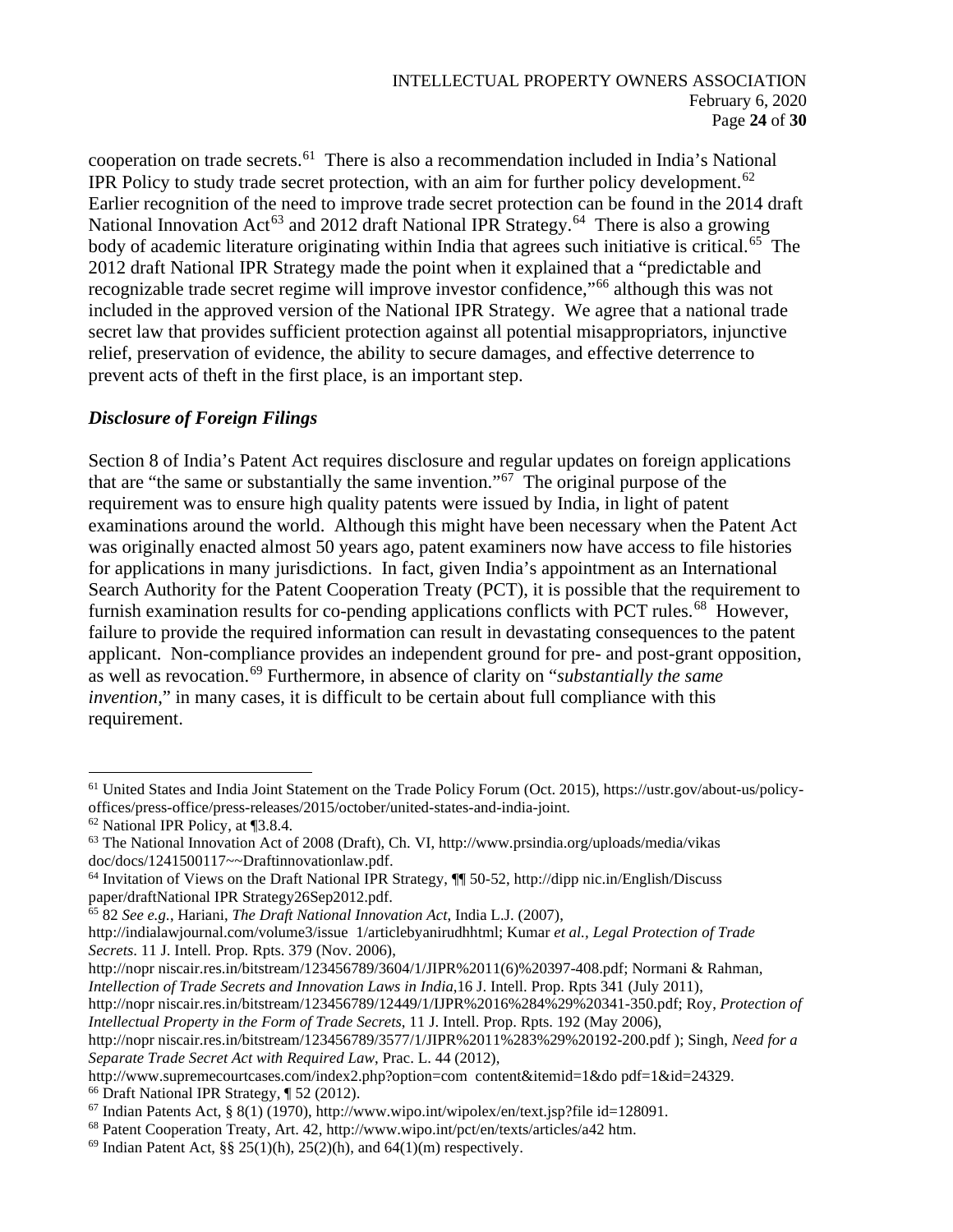cooperation on trade secrets.[61](#page-23-0) There is also a recommendation included in India's National IPR Policy to study trade secret protection, with an aim for further policy development.<sup>[62](#page-23-1)</sup> Earlier recognition of the need to improve trade secret protection can be found in the 2014 draft National Innovation Act<sup>[63](#page-23-2)</sup> and 2012 draft National IPR Strategy.<sup>[64](#page-23-3)</sup> There is also a growing body of academic literature originating within India that agrees such initiative is critical.<sup>65</sup> The 2012 draft National IPR Strategy made the point when it explained that a "predictable and recognizable trade secret regime will improve investor confidence,"<sup>[66](#page-23-5)</sup> although this was not included in the approved version of the National IPR Strategy. We agree that a national trade secret law that provides sufficient protection against all potential misappropriators, injunctive relief, preservation of evidence, the ability to secure damages, and effective deterrence to prevent acts of theft in the first place, is an important step.

## *Disclosure of Foreign Filings*

Section 8 of India's Patent Act requires disclosure and regular updates on foreign applications that are "the same or substantially the same invention."[67](#page-23-6) The original purpose of the requirement was to ensure high quality patents were issued by India, in light of patent examinations around the world. Although this might have been necessary when the Patent Act was originally enacted almost 50 years ago, patent examiners now have access to file histories for applications in many jurisdictions. In fact, given India's appointment as an International Search Authority for the Patent Cooperation Treaty (PCT), it is possible that the requirement to furnish examination results for co-pending applications conflicts with PCT rules.<sup>[68](#page-23-7)</sup> However, failure to provide the required information can result in devastating consequences to the patent applicant. Non-compliance provides an independent ground for pre- and post-grant opposition, as well as revocation.[69](#page-23-8) Furthermore, in absence of clarity on "*substantially the same invention*," in many cases, it is difficult to be certain about full compliance with this requirement.

http://nopr niscair.res.in/bitstream/123456789/3604/1/JIPR%2011(6)%20397-408.pdf; Normani & Rahman*, Intellection of Trade Secrets and Innovation Laws in India*,16 J. Intell. Prop. Rpts 341 (July 2011),

http://nopr niscair.res.in/bitstream/123456789/12449/1/IJPR%2016%284%29%20341-350.pdf; Roy, *Protection of Intellectual Property in the Form of Trade Secrets*, 11 J. Intell. Prop. Rpts. 192 (May 2006),

<span id="page-23-0"></span><sup>&</sup>lt;sup>61</sup> United States and India Joint Statement on the Trade Policy Forum (Oct. 2015), https://ustr.gov/about-us/policyoffices/press-office/press-releases/2015/october/united-states-and-india-joint.

<span id="page-23-1"></span><sup>62</sup> National IPR Policy, at ¶3.8.4.

<span id="page-23-2"></span><sup>63</sup> The National Innovation Act of 2008 (Draft), Ch. VI, http://www.prsindia.org/uploads/media/vikas doc/docs/1241500117~~Draftinnovationlaw.pdf.

<span id="page-23-3"></span><sup>64</sup> Invitation of Views on the Draft National IPR Strategy, ¶¶ 50-52, http://dipp nic.in/English/Discuss paper/draftNational IPR Strategy26Sep2012.pdf.

<span id="page-23-4"></span><sup>65</sup> 82 *See e.g.*, Hariani, *The Draft National Innovation Act*, India L.J. (2007),

http://indialawjournal.com/volume3/issue 1/articlebyanirudhhtml; Kumar *et al., Legal Protection of Trade Secrets*. 11 J. Intell. Prop. Rpts. 379 (Nov. 2006),

http://nopr niscair.res.in/bitstream/123456789/3577/1/JIPR%2011%283%29%20192-200.pdf ); Singh, *Need for a Separate Trade Secret Act with Required Law*, Prac. L. 44 (2012),

<span id="page-23-5"></span>http://www.supremecourtcases.com/index2.php?option=com content&itemid=1&do pdf=1&id=24329. <sup>66</sup> Draft National IPR Strategy, ¶ 52 (2012).

<span id="page-23-6"></span> $67$  Indian Patents Act, § 8(1) (1970), http://www.wipo.int/wipolex/en/text.jsp?file id=128091.

<span id="page-23-7"></span><sup>68</sup> Patent Cooperation Treaty, Art. 42, http://www.wipo.int/pct/en/texts/articles/a42 htm.

<span id="page-23-8"></span><sup>&</sup>lt;sup>69</sup> Indian Patent Act, §§ 25(1)(h), 25(2)(h), and 64(1)(m) respectively.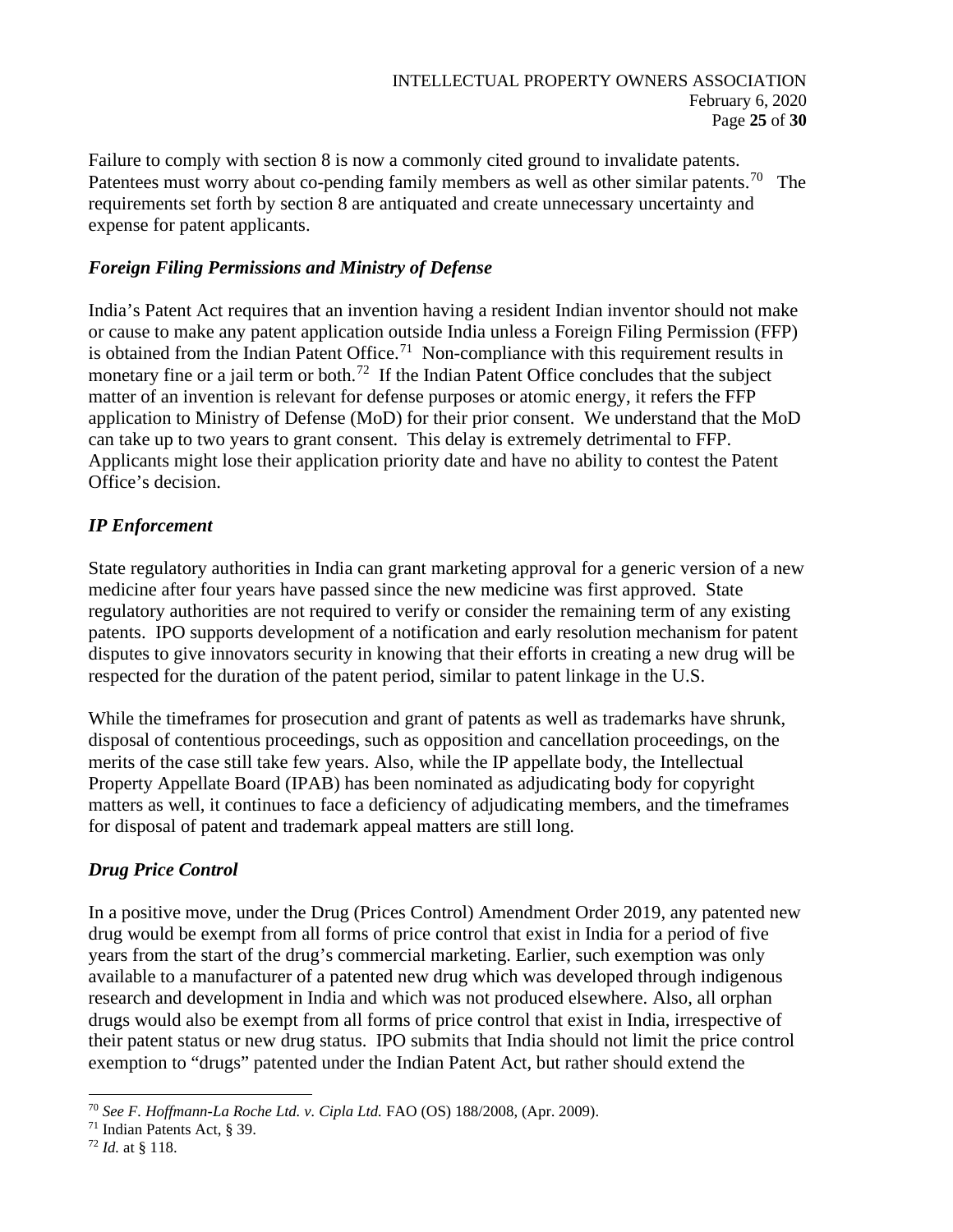Failure to comply with section 8 is now a commonly cited ground to invalidate patents. Patentees must worry about co-pending family members as well as other similar patents.<sup>[70](#page-24-0)</sup> The requirements set forth by section 8 are antiquated and create unnecessary uncertainty and expense for patent applicants.

### *Foreign Filing Permissions and Ministry of Defense*

India's Patent Act requires that an invention having a resident Indian inventor should not make or cause to make any patent application outside India unless a Foreign Filing Permission (FFP) is obtained from the Indian Patent Office.<sup>[71](#page-24-1)</sup> Non-compliance with this requirement results in monetary fine or a jail term or both.<sup>[72](#page-24-2)</sup> If the Indian Patent Office concludes that the subject matter of an invention is relevant for defense purposes or atomic energy, it refers the FFP application to Ministry of Defense (MoD) for their prior consent. We understand that the MoD can take up to two years to grant consent. This delay is extremely detrimental to FFP. Applicants might lose their application priority date and have no ability to contest the Patent Office's decision.

## *IP Enforcement*

State regulatory authorities in India can grant marketing approval for a generic version of a new medicine after four years have passed since the new medicine was first approved. State regulatory authorities are not required to verify or consider the remaining term of any existing patents. IPO supports development of a notification and early resolution mechanism for patent disputes to give innovators security in knowing that their efforts in creating a new drug will be respected for the duration of the patent period, similar to patent linkage in the U.S.

While the timeframes for prosecution and grant of patents as well as trademarks have shrunk, disposal of contentious proceedings, such as opposition and cancellation proceedings, on the merits of the case still take few years. Also, while the IP appellate body, the Intellectual Property Appellate Board (IPAB) has been nominated as adjudicating body for copyright matters as well, it continues to face a deficiency of adjudicating members, and the timeframes for disposal of patent and trademark appeal matters are still long.

# *Drug Price Control*

In a positive move, under the Drug (Prices Control) Amendment Order 2019, any patented new drug would be exempt from all forms of price control that exist in India for a period of five years from the start of the drug's commercial marketing. Earlier, such exemption was only available to a manufacturer of a patented new drug which was developed through indigenous research and development in India and which was not produced elsewhere. Also, all orphan drugs would also be exempt from all forms of price control that exist in India, irrespective of their patent status or new drug status. IPO submits that India should not limit the price control exemption to "drugs" patented under the Indian Patent Act, but rather should extend the

<span id="page-24-0"></span><sup>70</sup> *See F. Hoffmann-La Roche Ltd. v. Cipla Ltd.* FAO (OS) 188/2008, (Apr. 2009).

<span id="page-24-1"></span><sup>71</sup> Indian Patents Act, § 39.

<span id="page-24-2"></span><sup>72</sup> *Id.* at § 118.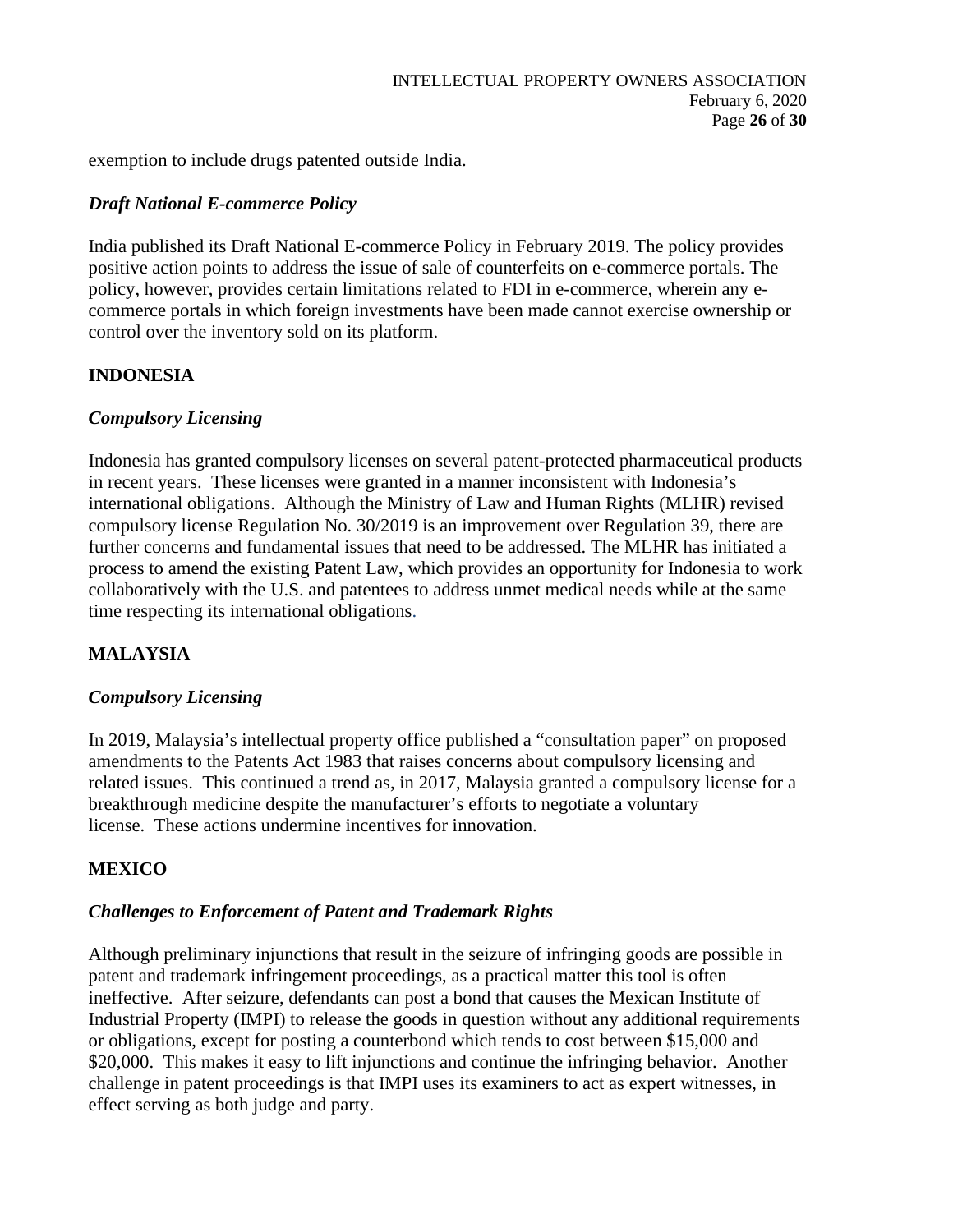exemption to include drugs patented outside India.

### *Draft National E-commerce Policy*

India published its Draft National E-commerce Policy in February 2019. The policy provides positive action points to address the issue of sale of counterfeits on e-commerce portals. The policy, however, provides certain limitations related to FDI in e-commerce, wherein any ecommerce portals in which foreign investments have been made cannot exercise ownership or control over the inventory sold on its platform.

## **INDONESIA**

### *Compulsory Licensing*

Indonesia has granted compulsory licenses on several patent-protected pharmaceutical products in recent years. These licenses were granted in a manner inconsistent with Indonesia's international obligations. Although the Ministry of Law and Human Rights (MLHR) revised compulsory license Regulation No. 30/2019 is an improvement over Regulation 39, there are further concerns and fundamental issues that need to be addressed. The MLHR has initiated a process to amend the existing Patent Law, which provides an opportunity for Indonesia to work collaboratively with the U.S. and patentees to address unmet medical needs while at the same time respecting its international obligations.

# **MALAYSIA**

### *Compulsory Licensing*

In 2019, Malaysia's intellectual property office published a "consultation paper" on proposed amendments to the Patents Act 1983 that raises concerns about compulsory licensing and related issues. This continued a trend as, in 2017, Malaysia granted a compulsory license for a breakthrough medicine despite the manufacturer's efforts to negotiate a voluntary license. These actions undermine incentives for innovation.

## **MEXICO**

### *Challenges to Enforcement of Patent and Trademark Rights*

Although preliminary injunctions that result in the seizure of infringing goods are possible in patent and trademark infringement proceedings, as a practical matter this tool is often ineffective. After seizure, defendants can post a bond that causes the Mexican Institute of Industrial Property (IMPI) to release the goods in question without any additional requirements or obligations, except for posting a counterbond which tends to cost between \$15,000 and \$20,000. This makes it easy to lift injunctions and continue the infringing behavior. Another challenge in patent proceedings is that IMPI uses its examiners to act as expert witnesses, in effect serving as both judge and party.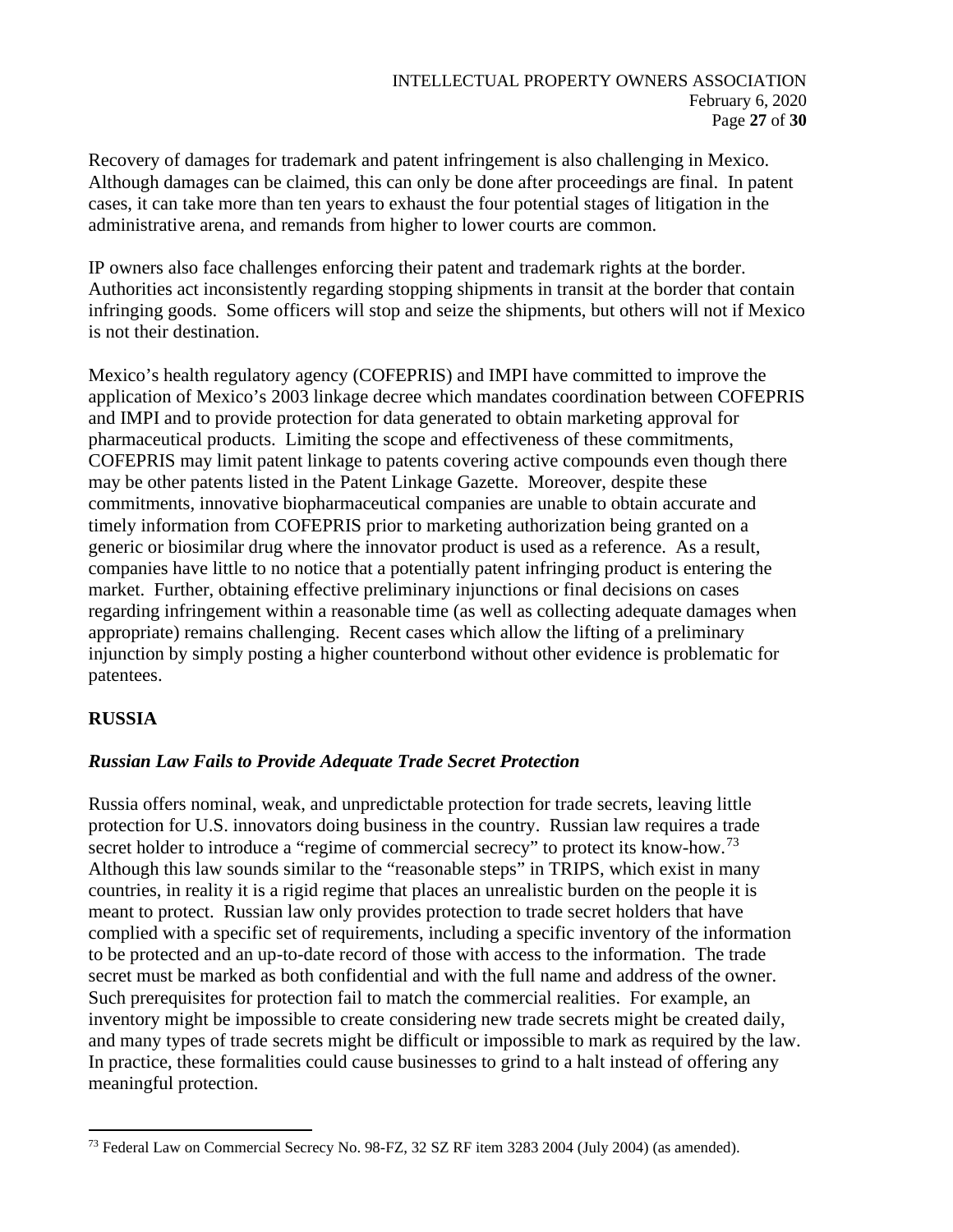Recovery of damages for trademark and patent infringement is also challenging in Mexico. Although damages can be claimed, this can only be done after proceedings are final. In patent cases, it can take more than ten years to exhaust the four potential stages of litigation in the administrative arena, and remands from higher to lower courts are common.

IP owners also face challenges enforcing their patent and trademark rights at the border. Authorities act inconsistently regarding stopping shipments in transit at the border that contain infringing goods. Some officers will stop and seize the shipments, but others will not if Mexico is not their destination.

Mexico's health regulatory agency (COFEPRIS) and IMPI have committed to improve the application of Mexico's 2003 linkage decree which mandates coordination between COFEPRIS and IMPI and to provide protection for data generated to obtain marketing approval for pharmaceutical products. Limiting the scope and effectiveness of these commitments, COFEPRIS may limit patent linkage to patents covering active compounds even though there may be other patents listed in the Patent Linkage Gazette. Moreover, despite these commitments, innovative biopharmaceutical companies are unable to obtain accurate and timely information from COFEPRIS prior to marketing authorization being granted on a generic or biosimilar drug where the innovator product is used as a reference. As a result, companies have little to no notice that a potentially patent infringing product is entering the market. Further, obtaining effective preliminary injunctions or final decisions on cases regarding infringement within a reasonable time (as well as collecting adequate damages when appropriate) remains challenging. Recent cases which allow the lifting of a preliminary injunction by simply posting a higher counterbond without other evidence is problematic for patentees.

## **RUSSIA**

## *Russian Law Fails to Provide Adequate Trade Secret Protection*

Russia offers nominal, weak, and unpredictable protection for trade secrets, leaving little protection for U.S. innovators doing business in the country. Russian law requires a trade secret holder to introduce a "regime of commercial secrecy" to protect its know-how.<sup>[73](#page-26-0)</sup> Although this law sounds similar to the "reasonable steps" in TRIPS, which exist in many countries, in reality it is a rigid regime that places an unrealistic burden on the people it is meant to protect. Russian law only provides protection to trade secret holders that have complied with a specific set of requirements, including a specific inventory of the information to be protected and an up-to-date record of those with access to the information. The trade secret must be marked as both confidential and with the full name and address of the owner. Such prerequisites for protection fail to match the commercial realities. For example, an inventory might be impossible to create considering new trade secrets might be created daily, and many types of trade secrets might be difficult or impossible to mark as required by the law. In practice, these formalities could cause businesses to grind to a halt instead of offering any meaningful protection.

<span id="page-26-0"></span><sup>&</sup>lt;sup>73</sup> Federal Law on Commercial Secrecy No. 98-FZ, 32 SZ RF item 3283 2004 (July 2004) (as amended).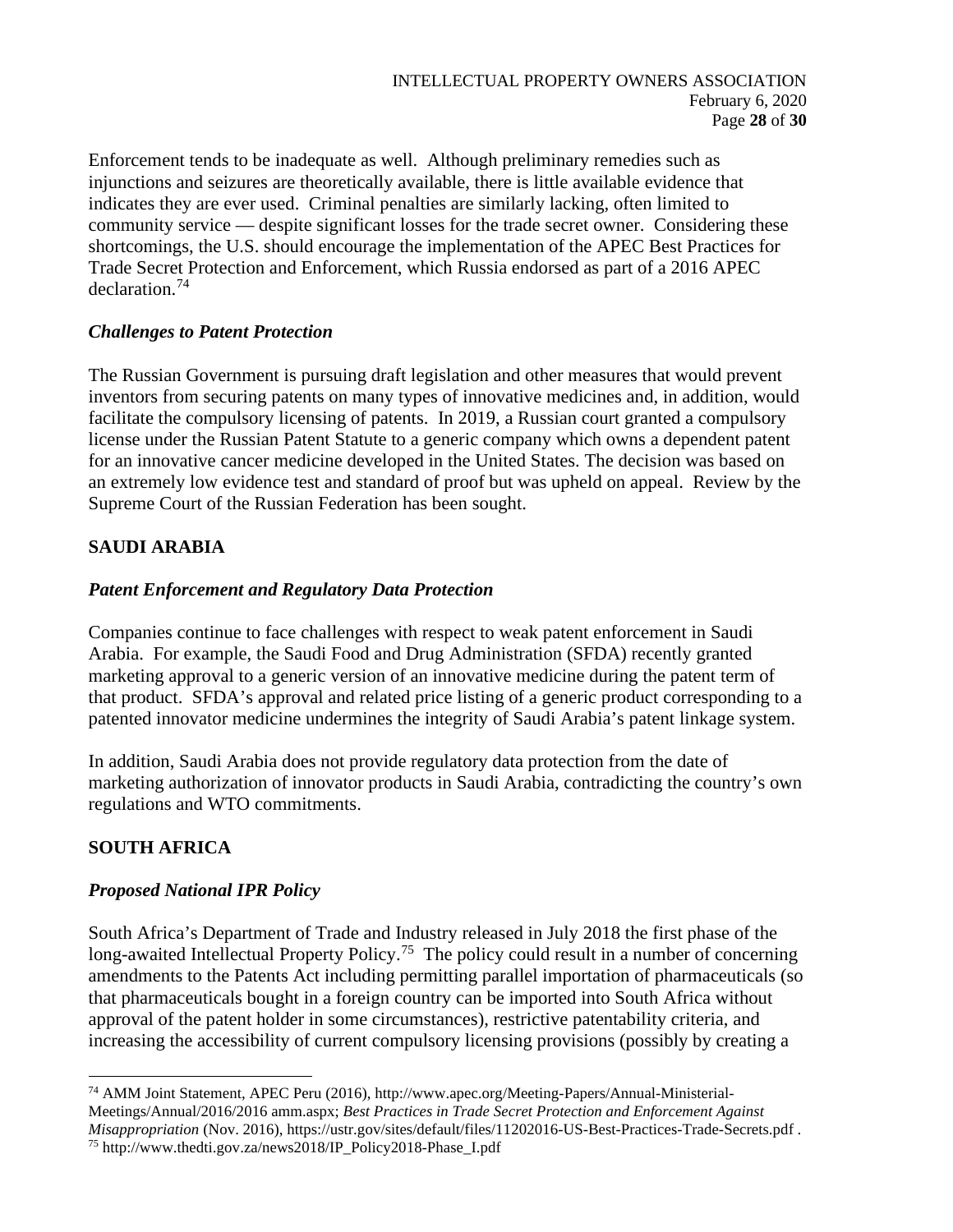Enforcement tends to be inadequate as well. Although preliminary remedies such as injunctions and seizures are theoretically available, there is little available evidence that indicates they are ever used. Criminal penalties are similarly lacking, often limited to community service — despite significant losses for the trade secret owner. Considering these shortcomings, the U.S. should encourage the implementation of the APEC Best Practices for Trade Secret Protection and Enforcement, which Russia endorsed as part of a 2016 APEC declaration.[74](#page-27-0)

## *Challenges to Patent Protection*

The Russian Government is pursuing draft legislation and other measures that would prevent inventors from securing patents on many types of innovative medicines and, in addition, would facilitate the compulsory licensing of patents. In 2019, a Russian court granted a compulsory license under the Russian Patent Statute to a generic company which owns a dependent patent for an innovative cancer medicine developed in the United States. The decision was based on an extremely low evidence test and standard of proof but was upheld on appeal. Review by the Supreme Court of the Russian Federation has been sought.

# **SAUDI ARABIA**

# *Patent Enforcement and Regulatory Data Protection*

Companies continue to face challenges with respect to weak patent enforcement in Saudi Arabia. For example, the Saudi Food and Drug Administration (SFDA) recently granted marketing approval to a generic version of an innovative medicine during the patent term of that product. SFDA's approval and related price listing of a generic product corresponding to a patented innovator medicine undermines the integrity of Saudi Arabia's patent linkage system.

In addition, Saudi Arabia does not provide regulatory data protection from the date of marketing authorization of innovator products in Saudi Arabia, contradicting the country's own regulations and WTO commitments.

# **SOUTH AFRICA**

## *Proposed National IPR Policy*

South Africa's Department of Trade and Industry released in July 2018 the first phase of the long-awaited Intellectual Property Policy.<sup>[75](#page-27-1)</sup> The policy could result in a number of concerning amendments to the Patents Act including permitting parallel importation of pharmaceuticals (so that pharmaceuticals bought in a foreign country can be imported into South Africa without approval of the patent holder in some circumstances), restrictive patentability criteria, and increasing the accessibility of current compulsory licensing provisions (possibly by creating a

<span id="page-27-0"></span><sup>74</sup> AMM Joint Statement, APEC Peru (2016), http://www.apec.org/Meeting-Papers/Annual-Ministerial-Meetings/Annual/2016/2016 amm.aspx; *Best Practices in Trade Secret Protection and Enforcement Against Misappropriation* (Nov. 2016), https://ustr.gov/sites/default/files/11202016-US-Best-Practices-Trade-Secrets.pdf .

<span id="page-27-1"></span><sup>75</sup> http://www.thedti.gov.za/news2018/IP\_Policy2018-Phase\_I.pdf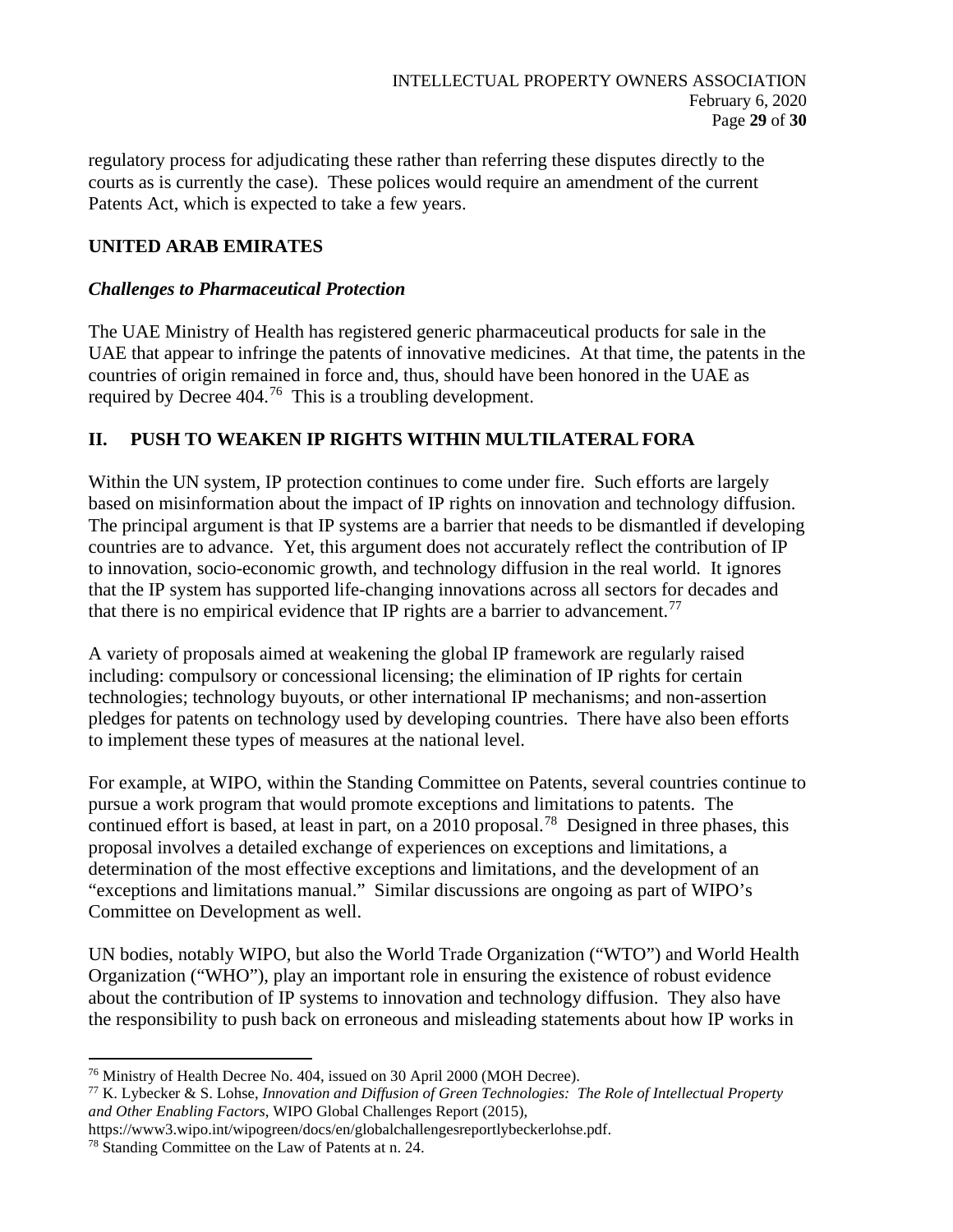regulatory process for adjudicating these rather than referring these disputes directly to the courts as is currently the case). These polices would require an amendment of the current Patents Act, which is expected to take a few years.

# **UNITED ARAB EMIRATES**

### *Challenges to Pharmaceutical Protection*

The UAE Ministry of Health has registered generic pharmaceutical products for sale in the UAE that appear to infringe the patents of innovative medicines. At that time, the patents in the countries of origin remained in force and, thus, should have been honored in the UAE as required by Decree 404.[76](#page-28-0) This is a troubling development.

# **II. PUSH TO WEAKEN IP RIGHTS WITHIN MULTILATERALFORA**

Within the UN system, IP protection continues to come under fire. Such efforts are largely based on misinformation about the impact of IP rights on innovation and technology diffusion. The principal argument is that IP systems are a barrier that needs to be dismantled if developing countries are to advance. Yet, this argument does not accurately reflect the contribution of IP to innovation, socio-economic growth, and technology diffusion in the real world. It ignores that the IP system has supported life-changing innovations across all sectors for decades and that there is no empirical evidence that IP rights are a barrier to advancement.<sup>[77](#page-28-1)</sup>

A variety of proposals aimed at weakening the global IP framework are regularly raised including: compulsory or concessional licensing; the elimination of IP rights for certain technologies; technology buyouts, or other international IP mechanisms; and non-assertion pledges for patents on technology used by developing countries. There have also been efforts to implement these types of measures at the national level.

For example, at WIPO, within the Standing Committee on Patents, several countries continue to pursue a work program that would promote exceptions and limitations to patents. The continued effort is based, at least in part, on a 2010 proposal.<sup>[78](#page-28-2)</sup> Designed in three phases, this proposal involves a detailed exchange of experiences on exceptions and limitations, a determination of the most effective exceptions and limitations, and the development of an "exceptions and limitations manual." Similar discussions are ongoing as part of WIPO's Committee on Development as well.

UN bodies, notably WIPO, but also the World Trade Organization ("WTO") and World Health Organization ("WHO"), play an important role in ensuring the existence of robust evidence about the contribution of IP systems to innovation and technology diffusion. They also have the responsibility to push back on erroneous and misleading statements about how IP works in

<span id="page-28-0"></span><sup>76</sup> Ministry of Health Decree No. 404, issued on 30 April 2000 (MOH Decree).

<span id="page-28-1"></span><sup>77</sup> K. Lybecker & S. Lohse, *Innovation and Diffusion of Green Technologies: The Role of Intellectual Property and Other Enabling Factors*, WIPO Global Challenges Report (2015),

https://www3.wipo.int/wipogreen/docs/en/globalchallengesreportlybeckerlohse.pdf.

<span id="page-28-2"></span><sup>78</sup> Standing Committee on the Law of Patents at n. 24.